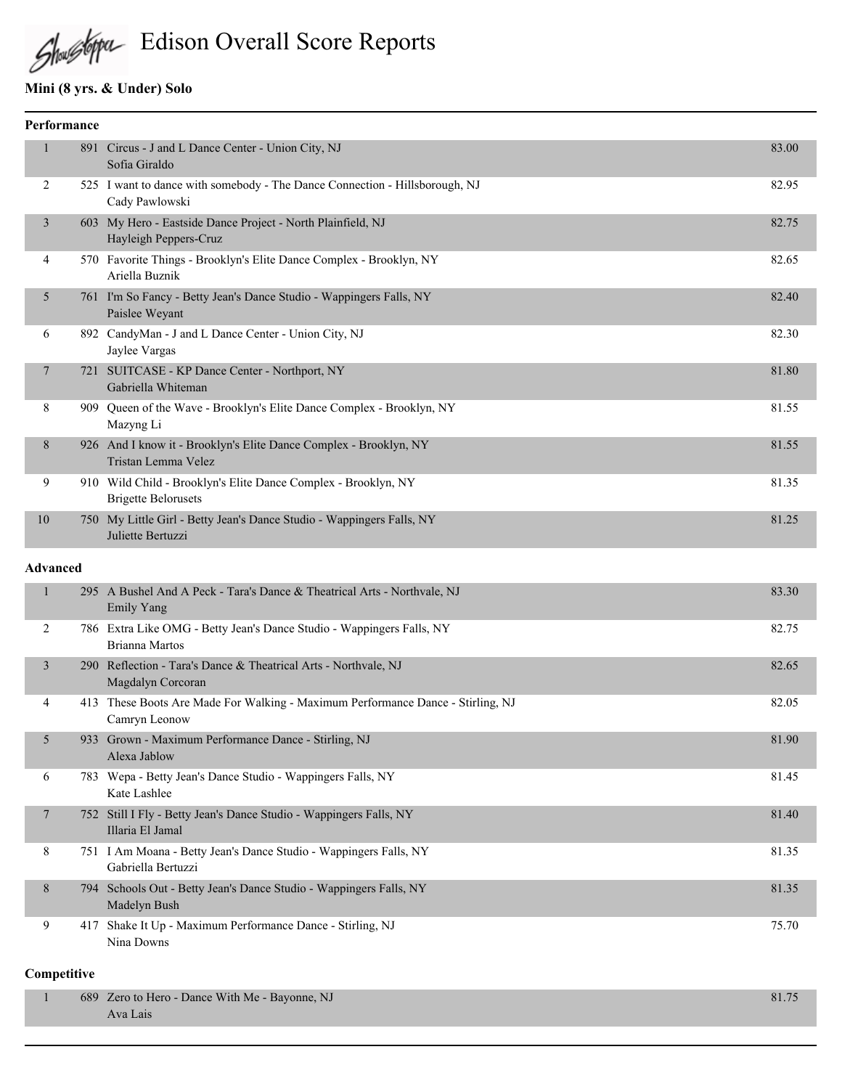Edison Overall Score Reports

### **Mini (8 yrs. & Under) Solo**

|    | Performance     |                                                                                                                                                                                                                                                                                                      |       |  |
|----|-----------------|------------------------------------------------------------------------------------------------------------------------------------------------------------------------------------------------------------------------------------------------------------------------------------------------------|-------|--|
| 1  | 891             | Circus - J and L Dance Center - Union City, NJ<br>Sofia Giraldo                                                                                                                                                                                                                                      | 83.00 |  |
| 2  |                 | 525 I want to dance with somebody - The Dance Connection - Hillsborough, NJ<br>Cady Pawlowski                                                                                                                                                                                                        | 82.95 |  |
| 3  |                 | 603 My Hero - Eastside Dance Project - North Plainfield, NJ<br>Hayleigh Peppers-Cruz                                                                                                                                                                                                                 | 82.75 |  |
| 4  |                 | 570 Favorite Things - Brooklyn's Elite Dance Complex - Brooklyn, NY<br>Ariella Buznik                                                                                                                                                                                                                | 82.65 |  |
| 5  |                 | 761 I'm So Fancy - Betty Jean's Dance Studio - Wappingers Falls, NY<br>Paislee Weyant                                                                                                                                                                                                                | 82.40 |  |
| 6  |                 | 892 CandyMan - J and L Dance Center - Union City, NJ<br>Jaylee Vargas                                                                                                                                                                                                                                | 82.30 |  |
| 7  |                 | 721 SUITCASE - KP Dance Center - Northport, NY<br>Gabriella Whiteman                                                                                                                                                                                                                                 | 81.80 |  |
| 8  |                 | 909 Queen of the Wave - Brooklyn's Elite Dance Complex - Brooklyn, NY<br>Mazyng Li                                                                                                                                                                                                                   | 81.55 |  |
| 8  |                 | 926 And I know it - Brooklyn's Elite Dance Complex - Brooklyn, NY<br>Tristan Lemma Velez                                                                                                                                                                                                             | 81.55 |  |
| 9  |                 | 910 Wild Child - Brooklyn's Elite Dance Complex - Brooklyn, NY<br><b>Brigette Belorusets</b>                                                                                                                                                                                                         | 81.35 |  |
| 10 |                 | 750 My Little Girl - Betty Jean's Dance Studio - Wappingers Falls, NY<br>Juliette Bertuzzi                                                                                                                                                                                                           | 81.25 |  |
|    | <b>Advanced</b> |                                                                                                                                                                                                                                                                                                      |       |  |
| 1  |                 | 295 A Bushel And A Peck - Tara's Dance & Theatrical Arts - Northvale, NJ<br><b>Emily Yang</b>                                                                                                                                                                                                        | 83.30 |  |
| 2  |                 | 786 Extra Like OMG - Betty Jean's Dance Studio - Wappingers Falls, NY<br>Brianna Martos                                                                                                                                                                                                              | 82.75 |  |
|    |                 | $\mathbb{R}$ in $\mathbb{R}$ and $\mathbb{R}$ is the $\mathbb{R}$ in $\mathbb{R}$ in $\mathbb{R}$ in $\mathbb{R}$ in $\mathbb{R}$ in $\mathbb{R}$ in $\mathbb{R}$ in $\mathbb{R}$ in $\mathbb{R}$ in $\mathbb{R}$ in $\mathbb{R}$ in $\mathbb{R}$ in $\mathbb{R}$ in $\mathbb{R}$ in $\mathbb{R}$ in |       |  |

| 3              |     | 290 Reflection - Tara's Dance & Theatrical Arts - Northvale, NJ<br>Magdalyn Corcoran             | 82.65 |
|----------------|-----|--------------------------------------------------------------------------------------------------|-------|
| 4              |     | 413 These Boots Are Made For Walking - Maximum Performance Dance - Stirling, NJ<br>Camryn Leonow | 82.05 |
| 5 <sup>1</sup> |     | 933 Grown - Maximum Performance Dance - Stirling, NJ<br>Alexa Jablow                             | 81.90 |
| 6              |     | 783 Wepa - Betty Jean's Dance Studio - Wappingers Falls, NY<br>Kate Lashlee                      | 81.45 |
| $\tau$         |     | 752 Still I Fly - Betty Jean's Dance Studio - Wappingers Falls, NY<br>Illaria El Jamal           | 81.40 |
| 8              |     | 751 I Am Moana - Betty Jean's Dance Studio - Wappingers Falls, NY<br>Gabriella Bertuzzi          | 81.35 |
| 8              |     | 794 Schools Out - Betty Jean's Dance Studio - Wappingers Falls, NY<br>Madelyn Bush               | 81.35 |
| 9              | 417 | Shake It Up - Maximum Performance Dance - Stirling, NJ<br>Nina Downs                             | 75.70 |

#### **Competitive**

| 689 Zero to Hero - Dance With Me - Bayonne, NJ | 81.75 |
|------------------------------------------------|-------|
| Ava Lais                                       |       |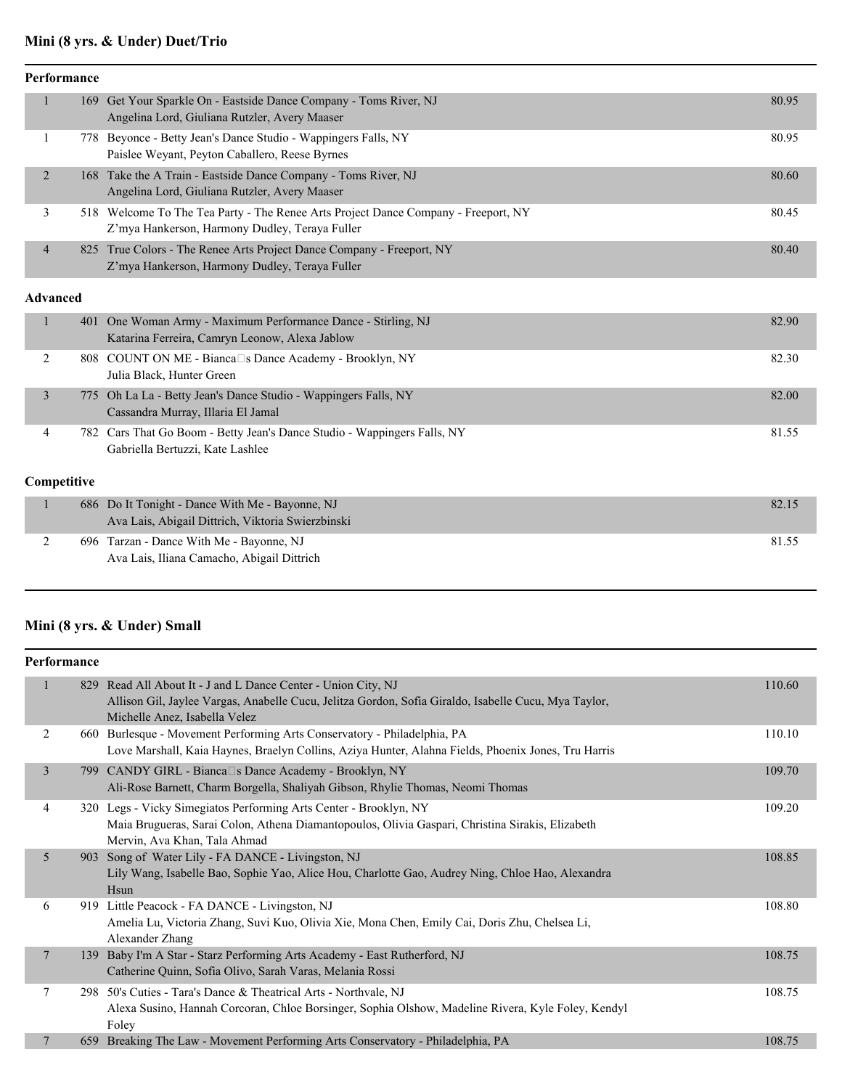# **Mini (8 yrs. & Under) Duet/Trio**

| <b>Performance</b> |   |  |                                                                                                                                      |       |
|--------------------|---|--|--------------------------------------------------------------------------------------------------------------------------------------|-------|
|                    |   |  | 169 Get Your Sparkle On - Eastside Dance Company - Toms River, NJ<br>Angelina Lord, Giuliana Rutzler, Avery Maaser                   | 80.95 |
|                    |   |  | 778 Beyonce - Betty Jean's Dance Studio - Wappingers Falls, NY<br>Paislee Weyant, Peyton Caballero, Reese Byrnes                     | 80.95 |
|                    | 2 |  | 168 Take the A Train - Eastside Dance Company - Toms River, NJ<br>Angelina Lord, Giuliana Rutzler, Avery Maaser                      | 80.60 |
|                    | 3 |  | 518 Welcome To The Tea Party - The Renee Arts Project Dance Company - Freeport, NY<br>Z'mya Hankerson, Harmony Dudley, Teraya Fuller | 80.45 |
|                    | 4 |  | 825 True Colors - The Renee Arts Project Dance Company - Freeport, NY<br>Z'mya Hankerson, Harmony Dudley, Teraya Fuller              | 80.40 |
|                    |   |  |                                                                                                                                      |       |

#### **Advanced**

|                    |  | 401 One Woman Army - Maximum Performance Dance - Stirling, NJ<br>Katarina Ferreira, Camryn Leonow, Alexa Jablow                                                                                                                                                                      | 82.90 |
|--------------------|--|--------------------------------------------------------------------------------------------------------------------------------------------------------------------------------------------------------------------------------------------------------------------------------------|-------|
|                    |  | 808 COUNT ON ME - Bianca□s Dance Academy - Brooklyn, NY<br>Julia Black, Hunter Green                                                                                                                                                                                                 | 82.30 |
|                    |  | 775 Oh La La - Betty Jean's Dance Studio - Wappingers Falls, NY<br>Cassandra Murray, Illaria El Jamal                                                                                                                                                                                | 82.00 |
| 4                  |  | 782 Cars That Go Boom - Betty Jean's Dance Studio - Wappingers Falls, NY<br>Gabriella Bertuzzi, Kate Lashlee                                                                                                                                                                         | 81.55 |
| <b>Competitive</b> |  |                                                                                                                                                                                                                                                                                      |       |
|                    |  | 686 Do It Tonight - Dance With Me - Bayonne, NJ<br>$\mathbf{A}$ , and the second contract of the second contract of the second contract of the second contract of the second contract of the second contract of the second contract of the second contract of the second contract of | 82.15 |

| Ava Lais, Abigail Dittrich, Viktoria Swierzbinski |       |
|---------------------------------------------------|-------|
| 696 Tarzan - Dance With Me - Bayonne, NJ          | 81.55 |
| Ava Lais, Iliana Camacho, Abigail Dittrich        |       |

### **Mini (8 yrs. & Under) Small**

| Performance |     |                                                                                                                                                                                                        |        |
|-------------|-----|--------------------------------------------------------------------------------------------------------------------------------------------------------------------------------------------------------|--------|
| 1           |     | 829 Read All About It - J and L Dance Center - Union City, NJ<br>Allison Gil, Jaylee Vargas, Anabelle Cucu, Jelitza Gordon, Sofia Giraldo, Isabelle Cucu, Mya Taylor,<br>Michelle Anez, Isabella Velez | 110.60 |
| 2           | 660 | Burlesque - Movement Performing Arts Conservatory - Philadelphia, PA<br>Love Marshall, Kaia Haynes, Braelyn Collins, Aziya Hunter, Alahna Fields, Phoenix Jones, Tru Harris                            | 110.10 |
| 3           |     | 799 CANDY GIRL - Bianca S Dance Academy - Brooklyn, NY<br>Ali-Rose Barnett, Charm Borgella, Shaliyah Gibson, Rhylie Thomas, Neomi Thomas                                                               | 109.70 |
| 4           |     | 320 Legs - Vicky Simegiatos Performing Arts Center - Brooklyn, NY<br>Maia Brugueras, Sarai Colon, Athena Diamantopoulos, Olivia Gaspari, Christina Sirakis, Elizabeth<br>Mervin, Ava Khan, Tala Ahmad  | 109.20 |
| 5           | 903 | Song of Water Lily - FA DANCE - Livingston, NJ<br>Lily Wang, Isabelle Bao, Sophie Yao, Alice Hou, Charlotte Gao, Audrey Ning, Chloe Hao, Alexandra<br>Hsun                                             | 108.85 |
| 6           |     | 919 Little Peacock - FA DANCE - Livingston, NJ<br>Amelia Lu, Victoria Zhang, Suvi Kuo, Olivia Xie, Mona Chen, Emily Cai, Doris Zhu, Chelsea Li,<br>Alexander Zhang                                     | 108.80 |
| 7           | 139 | Baby I'm A Star - Starz Performing Arts Academy - East Rutherford, NJ<br>Catherine Quinn, Sofia Olivo, Sarah Varas, Melania Rossi                                                                      | 108.75 |
| 7           | 298 | 50's Cuties - Tara's Dance & Theatrical Arts - Northvale, NJ<br>Alexa Susino, Hannah Corcoran, Chloe Borsinger, Sophia Olshow, Madeline Rivera, Kyle Foley, Kendyl<br>Foley                            | 108.75 |
| 7           | 659 | Breaking The Law - Movement Performing Arts Conservatory - Philadelphia, PA                                                                                                                            | 108.75 |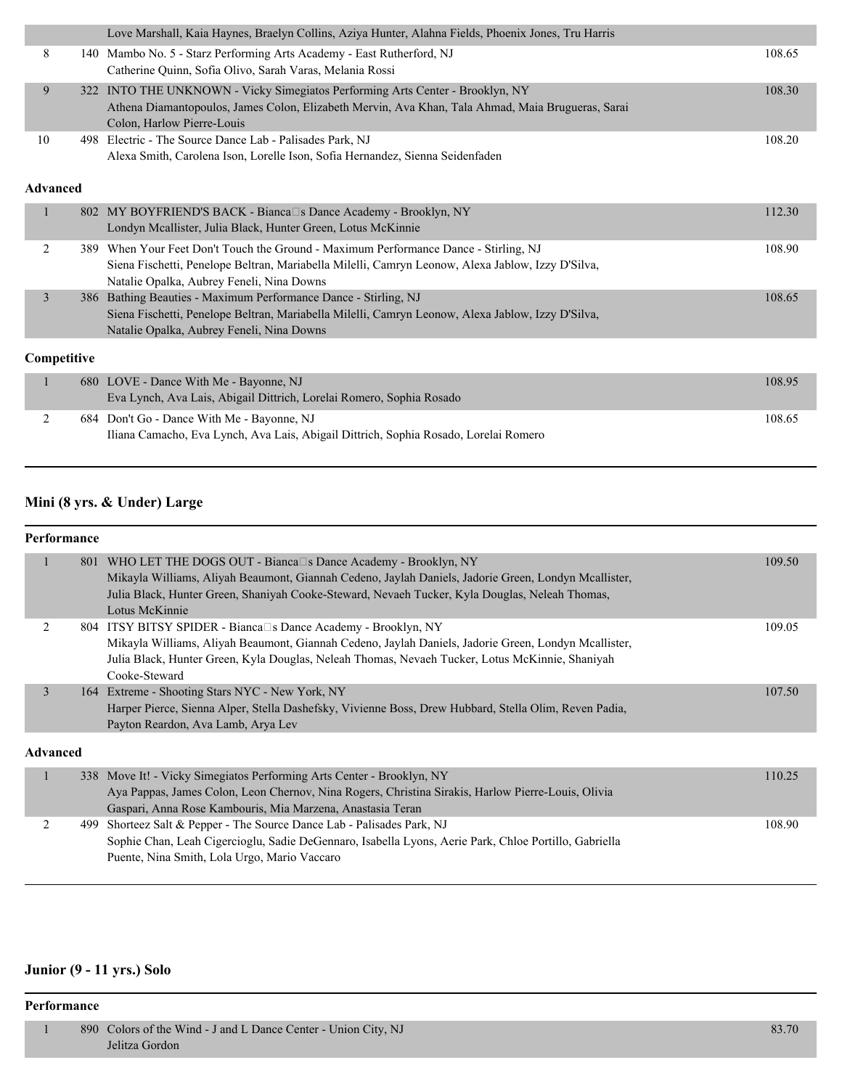|                 |      | Love Marshall, Kaia Haynes, Braelyn Collins, Aziya Hunter, Alahna Fields, Phoenix Jones, Tru Harris |        |
|-----------------|------|-----------------------------------------------------------------------------------------------------|--------|
| 8               |      | 140 Mambo No. 5 - Starz Performing Arts Academy - East Rutherford, NJ                               | 108.65 |
|                 |      | Catherine Quinn, Sofia Olivo, Sarah Varas, Melania Rossi                                            |        |
| 9               |      | 322 INTO THE UNKNOWN - Vicky Simegiatos Performing Arts Center - Brooklyn, NY                       | 108.30 |
|                 |      | Athena Diamantopoulos, James Colon, Elizabeth Mervin, Ava Khan, Tala Ahmad, Maia Brugueras, Sarai   |        |
|                 |      | Colon, Harlow Pierre-Louis                                                                          |        |
| 10              | 498. | Electric - The Source Dance Lab - Palisades Park, NJ                                                | 108.20 |
|                 |      | Alexa Smith, Carolena Ison, Lorelle Ison, Sofia Hernandez, Sienna Seidenfaden                       |        |
|                 |      |                                                                                                     |        |
| <b>Advanced</b> |      |                                                                                                     |        |
|                 |      | 802 MY BOYFRIEND'S BACK - Bianca□s Dance Academy - Brooklyn, NY                                     | 112.30 |
|                 |      | Londyn Mcallister, Julia Black, Hunter Green, Lotus McKinnie                                        |        |
| 2               |      | 389 When Your Feet Don't Touch the Ground - Maximum Performance Dance - Stirling, NJ                | 108.90 |
|                 |      | Siena Fischetti, Penelope Beltran, Mariabella Milelli, Camryn Leonow, Alexa Jablow, Izzy D'Silva,   |        |
|                 |      | Natalie Opalka, Aubrey Feneli, Nina Downs                                                           |        |
| 3               |      | 386 Bathing Beauties - Maximum Performance Dance - Stirling, NJ                                     | 108.65 |
|                 |      | Siena Fischetti, Penelope Beltran, Mariabella Milelli, Camryn Leonow, Alexa Jablow, Izzy D'Silva,   |        |
|                 |      | Natalie Opalka, Aubrey Feneli, Nina Downs                                                           |        |
|                 |      |                                                                                                     |        |
| Competitive     |      |                                                                                                     |        |
|                 |      | 680 LOVE - Dance With Me - Bayonne, NJ                                                              | 108.95 |
|                 |      | Eva Lynch, Ava Lais, Abigail Dittrich, Lorelai Romero, Sophia Rosado                                |        |
| 2               |      | 684 Don't Go - Dance With Me - Bayonne, NJ                                                          | 108.65 |
|                 |      | Iliana Camacho, Eva Lynch, Ava Lais, Abigail Dittrich, Sophia Rosado, Lorelai Romero                |        |

#### **Mini (8 yrs. & Under) Large**

#### **Performance** 1 801 WHO LET THE DOGS OUT - Bianca□s Dance Academy - Brooklyn, NY 109.50 Mikayla Williams, Aliyah Beaumont, Giannah Cedeno, Jaylah Daniels, Jadorie Green, Londyn Mcallister, Julia Black, Hunter Green, Shaniyah Cooke-Steward, Nevaeh Tucker, Kyla Douglas, Neleah Thomas, Lotus McKinnie 2 804 ITSY BITSY SPIDER - Bianca S Dance Academy - Brooklyn, NY 109.05 Mikayla Williams, Aliyah Beaumont, Giannah Cedeno, Jaylah Daniels, Jadorie Green, Londyn Mcallister, Julia Black, Hunter Green, Kyla Douglas, Neleah Thomas, Nevaeh Tucker, Lotus McKinnie, Shaniyah Cooke-Steward 3 164 Extreme - Shooting Stars NYC - New York, NY 107.50 Harper Pierce, Sienna Alper, Stella Dashefsky, Vivienne Boss, Drew Hubbard, Stella Olim, Reven Padia, Payton Reardon, Ava Lamb, Arya Lev **Advanced** 1 338 Move It! - Vicky Simegiatos Performing Arts Center - Brooklyn, NY 110.25 Aya Pappas, James Colon, Leon Chernov, Nina Rogers, Christina Sirakis, Harlow Pierre-Louis, Olivia Gaspari, Anna Rose Kambouris, Mia Marzena, Anastasia Teran 2 499 Shorteez Salt & Pepper - The Source Dance Lab - Palisades Park, NJ 108.90 Sophie Chan, Leah Cigercioglu, Sadie DeGennaro, Isabella Lyons, Aerie Park, Chloe Portillo, Gabriella Puente, Nina Smith, Lola Urgo, Mario Vaccaro

#### **Junior (9 - 11 yrs.) Solo**

#### **Performance**

| 890 Colors of the Wind - J and L Dance Center - Union City, NJ | 83.70 |
|----------------------------------------------------------------|-------|
| Jelitza Gordon                                                 |       |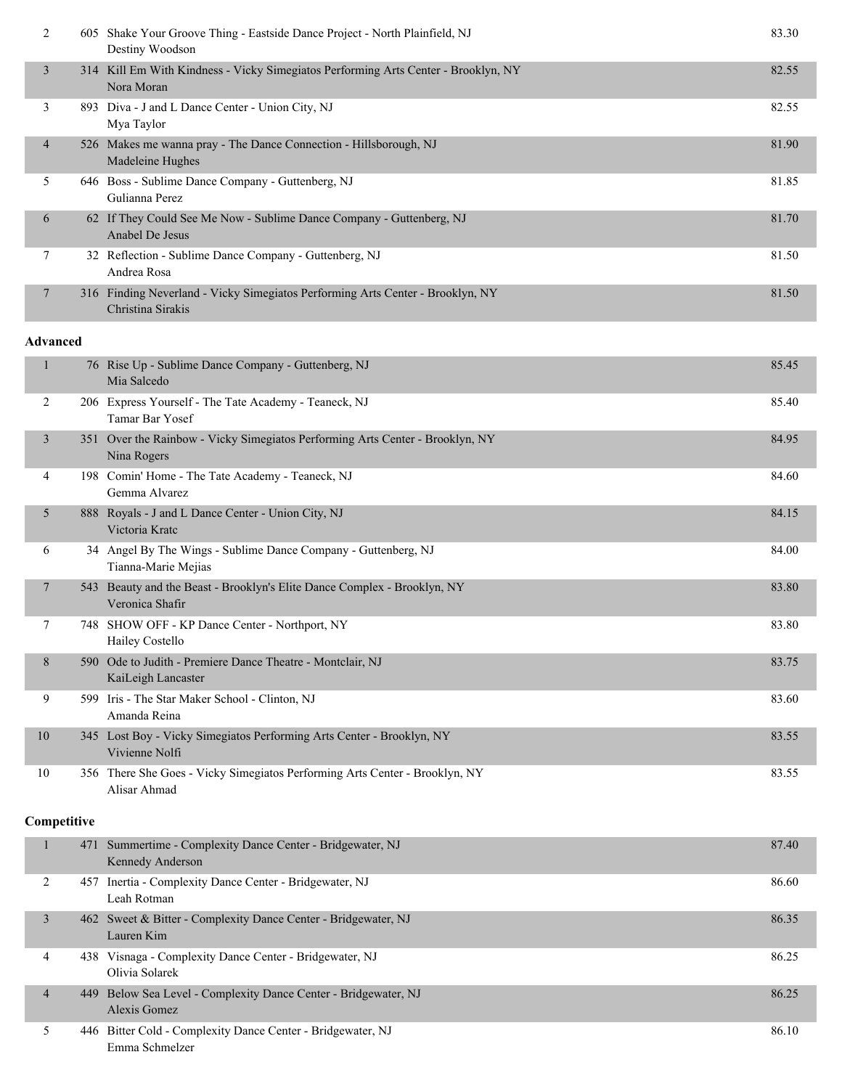| 2              | 605 Shake Your Groove Thing - Eastside Dance Project - North Plainfield, NJ<br>Destiny Woodson      | 83.30 |
|----------------|-----------------------------------------------------------------------------------------------------|-------|
| $\mathfrak{Z}$ | 314 Kill Em With Kindness - Vicky Simegiatos Performing Arts Center - Brooklyn, NY<br>Nora Moran    | 82.55 |
| 3              | 893 Diva - J and L Dance Center - Union City, NJ<br>Mya Taylor                                      | 82.55 |
| $\overline{4}$ | 526 Makes me wanna pray - The Dance Connection - Hillsborough, NJ<br>Madeleine Hughes               | 81.90 |
| 5.             | 646 Boss - Sublime Dance Company - Guttenberg, NJ<br>Gulianna Perez                                 | 81.85 |
| 6              | 62 If They Could See Me Now - Sublime Dance Company - Guttenberg, NJ<br>Anabel De Jesus             | 81.70 |
| 7              | 32 Reflection - Sublime Dance Company - Guttenberg, NJ<br>Andrea Rosa                               | 81.50 |
|                | 316 Finding Neverland - Vicky Simegiatos Performing Arts Center - Brooklyn, NY<br>Christina Sirakis | 81.50 |

#### **Advanced**

|    |     | 76 Rise Up - Sublime Dance Company - Guttenberg, NJ<br>Mia Salcedo                           | 85.45 |
|----|-----|----------------------------------------------------------------------------------------------|-------|
| 2  |     | 206 Express Yourself - The Tate Academy - Teaneck, NJ<br><b>Tamar Bar Yosef</b>              | 85.40 |
| 3  |     | 351 Over the Rainbow - Vicky Simegiatos Performing Arts Center - Brooklyn, NY<br>Nina Rogers | 84.95 |
| 4  | 198 | Comin' Home - The Tate Academy - Teaneck, NJ<br>Gemma Alvarez                                | 84.60 |
| 5  |     | 888 Royals - J and L Dance Center - Union City, NJ<br>Victoria Kratc                         | 84.15 |
| 6  |     | 34 Angel By The Wings - Sublime Dance Company - Guttenberg, NJ<br>Tianna-Marie Mejias        | 84.00 |
| 7  | 543 | Beauty and the Beast - Brooklyn's Elite Dance Complex - Brooklyn, NY<br>Veronica Shafir      | 83.80 |
| 7  |     | 748 SHOW OFF - KP Dance Center - Northport, NY<br>Hailey Costello                            | 83.80 |
| 8  | 590 | Ode to Judith - Premiere Dance Theatre - Montclair, NJ<br>KaiLeigh Lancaster                 | 83.75 |
| 9  |     | 599 Iris - The Star Maker School - Clinton, NJ<br>Amanda Reina                               | 83.60 |
| 10 |     | 345 Lost Boy - Vicky Simegiatos Performing Arts Center - Brooklyn, NY<br>Vivienne Nolfi      | 83.55 |
| 10 |     | 356 There She Goes - Vicky Simegiatos Performing Arts Center - Brooklyn, NY<br>Alisar Ahmad  | 83.55 |

#### **Competitive**

|                | 471 Summertime - Complexity Dance Center - Bridgewater, NJ<br>Kennedy Anderson  | 87.40 |
|----------------|---------------------------------------------------------------------------------|-------|
|                | 457 Inertia - Complexity Dance Center - Bridgewater, NJ<br>Leah Rotman          | 86.60 |
| 3              | 462 Sweet & Bitter - Complexity Dance Center - Bridgewater, NJ<br>Lauren Kim    | 86.35 |
| 4              | 438 Visnaga - Complexity Dance Center - Bridgewater, NJ<br>Olivia Solarek       | 86.25 |
| $\overline{4}$ | 449 Below Sea Level - Complexity Dance Center - Bridgewater, NJ<br>Alexis Gomez | 86.25 |
|                | 446 Bitter Cold - Complexity Dance Center - Bridgewater, NJ<br>Emma Schmelzer   | 86.10 |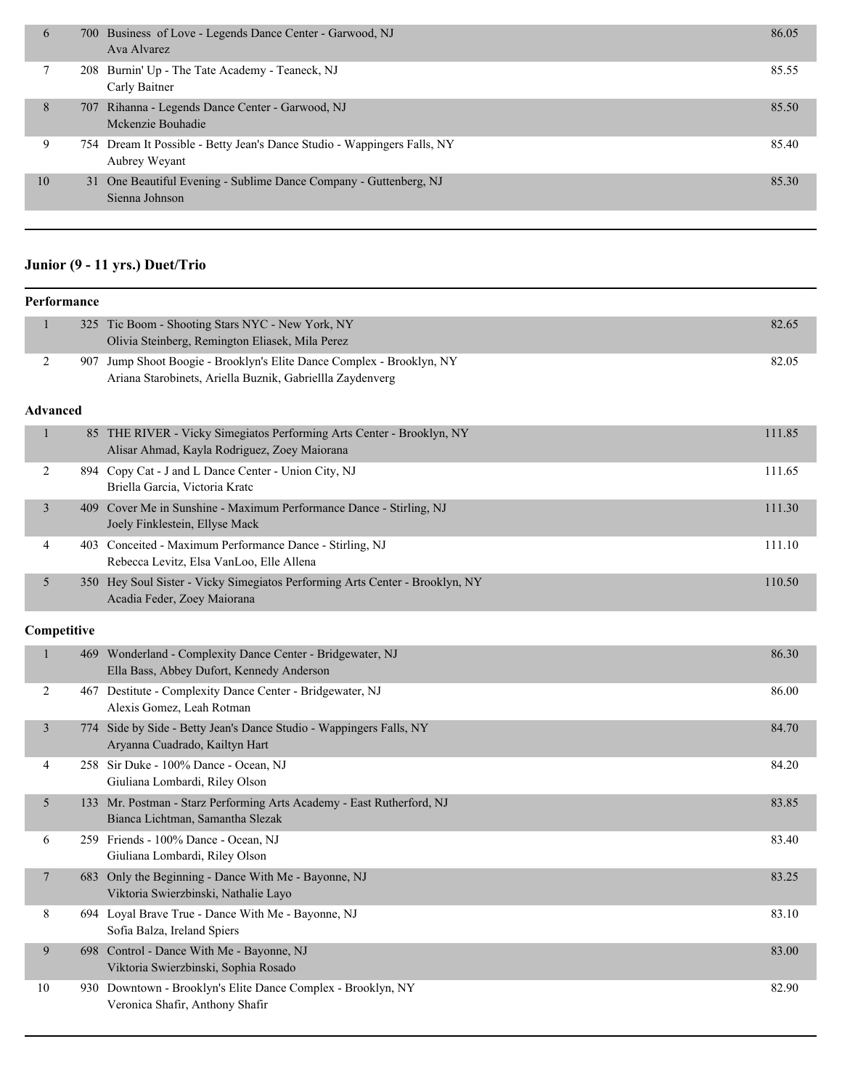| 6  | 700 Business of Love - Legends Dance Center - Garwood, NJ<br>Ava Alvarez                  | 86.05 |
|----|-------------------------------------------------------------------------------------------|-------|
|    | 208 Burnin' Up - The Tate Academy - Teaneck, NJ<br>Carly Baitner                          | 85.55 |
| 8  | 707 Rihanna - Legends Dance Center - Garwood, NJ<br>Mckenzie Bouhadie                     | 85.50 |
| 9  | 754 Dream It Possible - Betty Jean's Dance Studio - Wappingers Falls, NY<br>Aubrey Weyant | 85.40 |
| 10 | 31 One Beautiful Evening - Sublime Dance Company - Guttenberg, NJ<br>Sienna Johnson       | 85.30 |

### **Junior (9 - 11 yrs.) Duet/Trio**

|                 | Performance |                                                                                                                                    |        |
|-----------------|-------------|------------------------------------------------------------------------------------------------------------------------------------|--------|
| 1               |             | 325 Tic Boom - Shooting Stars NYC - New York, NY                                                                                   | 82.65  |
|                 |             | Olivia Steinberg, Remington Eliasek, Mila Perez                                                                                    |        |
| 2               |             | 907 Jump Shoot Boogie - Brooklyn's Elite Dance Complex - Brooklyn, NY<br>Ariana Starobinets, Ariella Buznik, Gabriellla Zaydenverg | 82.05  |
| <b>Advanced</b> |             |                                                                                                                                    |        |
| $\mathbf{1}$    |             | 85 THE RIVER - Vicky Simegiatos Performing Arts Center - Brooklyn, NY<br>Alisar Ahmad, Kayla Rodriguez, Zoey Maiorana              | 111.85 |
| 2               |             | 894 Copy Cat - J and L Dance Center - Union City, NJ<br>Briella Garcia, Victoria Kratc                                             | 111.65 |
| 3               |             | 409 Cover Me in Sunshine - Maximum Performance Dance - Stirling, NJ<br>Joely Finklestein, Ellyse Mack                              | 111.30 |
| 4               |             | 403 Conceited - Maximum Performance Dance - Stirling, NJ<br>Rebecca Levitz, Elsa VanLoo, Elle Allena                               | 111.10 |
| 5               |             | 350 Hey Soul Sister - Vicky Simegiatos Performing Arts Center - Brooklyn, NY<br>Acadia Feder, Zoey Maiorana                        | 110.50 |
| Competitive     |             |                                                                                                                                    |        |
| $\mathbf{1}$    | 469         | Wonderland - Complexity Dance Center - Bridgewater, NJ<br>Ella Bass, Abbey Dufort, Kennedy Anderson                                | 86.30  |
| 2               |             | 467 Destitute - Complexity Dance Center - Bridgewater, NJ<br>Alexis Gomez, Leah Rotman                                             | 86.00  |
| 3               |             | 774 Side by Side - Betty Jean's Dance Studio - Wappingers Falls, NY<br>Aryanna Cuadrado, Kailtyn Hart                              | 84.70  |
| 4               |             | 258 Sir Duke - 100% Dance - Ocean, NJ<br>Giuliana Lombardi, Riley Olson                                                            | 84.20  |
| 5               |             | 133 Mr. Postman - Starz Performing Arts Academy - East Rutherford, NJ<br>Bianca Lichtman, Samantha Slezak                          | 83.85  |
| 6               |             | 259 Friends - 100% Dance - Ocean, NJ<br>Giuliana Lombardi, Riley Olson                                                             | 83.40  |
| 7               |             | 683 Only the Beginning - Dance With Me - Bayonne, NJ<br>Viktoria Swierzbinski, Nathalie Layo                                       | 83.25  |
| 8               |             | 694 Loyal Brave True - Dance With Me - Bayonne, NJ<br>Sofia Balza, Ireland Spiers                                                  | 83.10  |
| 9               |             | 698 Control - Dance With Me - Bayonne, NJ<br>Viktoria Swierzbinski, Sophia Rosado                                                  | 83.00  |
| 10              |             | 930 Downtown - Brooklyn's Elite Dance Complex - Brooklyn, NY<br>Veronica Shafir, Anthony Shafir                                    | 82.90  |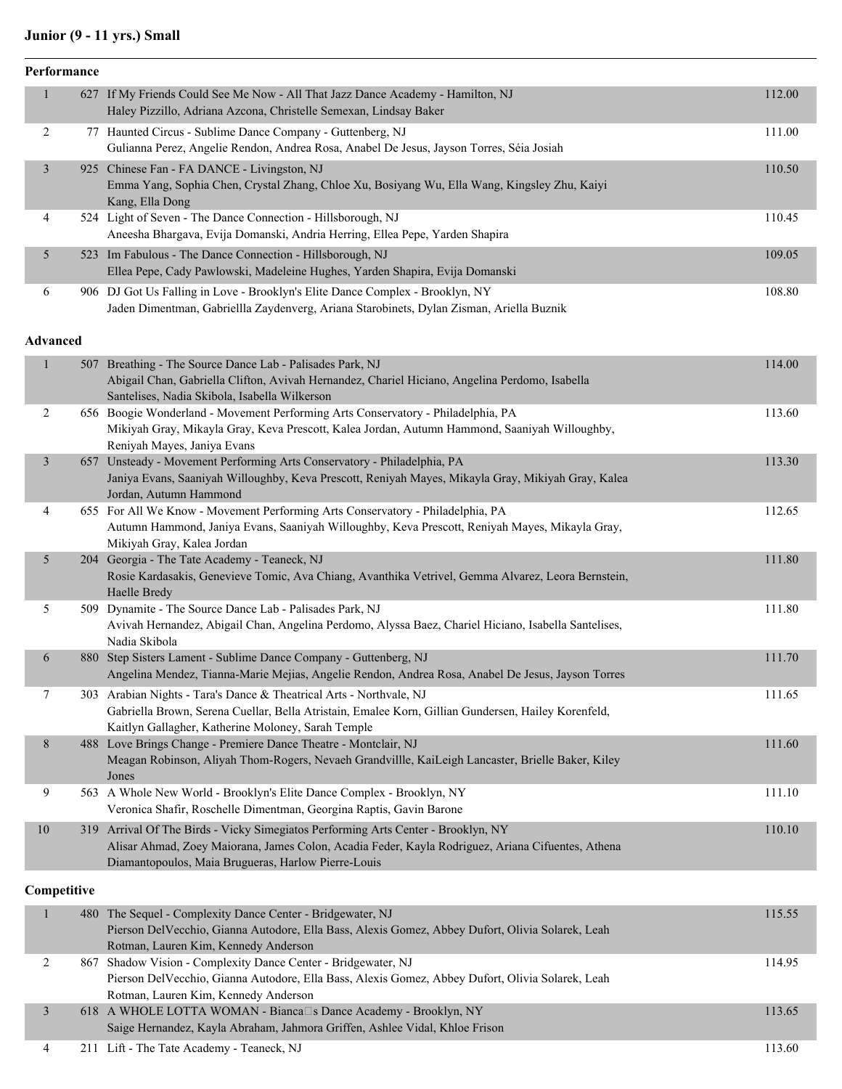### **Junior (9 - 11 yrs.) Small**

| Performance    |                                                                                                                                                                            |        |
|----------------|----------------------------------------------------------------------------------------------------------------------------------------------------------------------------|--------|
| $\mathbf{1}$   | 627 If My Friends Could See Me Now - All That Jazz Dance Academy - Hamilton, NJ                                                                                            | 112.00 |
|                | Haley Pizzillo, Adriana Azcona, Christelle Semexan, Lindsay Baker                                                                                                          |        |
| $\overline{c}$ | 77 Haunted Circus - Sublime Dance Company - Guttenberg, NJ                                                                                                                 | 111.00 |
|                | Gulianna Perez, Angelie Rendon, Andrea Rosa, Anabel De Jesus, Jayson Torres, Séia Josiah                                                                                   |        |
| $\mathfrak{Z}$ | 925 Chinese Fan - FA DANCE - Livingston, NJ                                                                                                                                | 110.50 |
|                | Emma Yang, Sophia Chen, Crystal Zhang, Chloe Xu, Bosiyang Wu, Ella Wang, Kingsley Zhu, Kaiyi<br>Kang, Ella Dong                                                            |        |
| $\overline{4}$ | 524 Light of Seven - The Dance Connection - Hillsborough, NJ                                                                                                               | 110.45 |
|                | Aneesha Bhargava, Evija Domanski, Andria Herring, Ellea Pepe, Yarden Shapira                                                                                               |        |
| 5              | 523 Im Fabulous - The Dance Connection - Hillsborough, NJ                                                                                                                  | 109.05 |
|                | Ellea Pepe, Cady Pawlowski, Madeleine Hughes, Yarden Shapira, Evija Domanski                                                                                               |        |
| 6              | 906 DJ Got Us Falling in Love - Brooklyn's Elite Dance Complex - Brooklyn, NY                                                                                              | 108.80 |
|                | Jaden Dimentman, Gabriellla Zaydenverg, Ariana Starobinets, Dylan Zisman, Ariella Buznik                                                                                   |        |
| Advanced       |                                                                                                                                                                            |        |
| $\mathbf{1}$   | 507 Breathing - The Source Dance Lab - Palisades Park, NJ                                                                                                                  | 114.00 |
|                | Abigail Chan, Gabriella Clifton, Avivah Hernandez, Chariel Hiciano, Angelina Perdomo, Isabella                                                                             |        |
|                | Santelises, Nadia Skibola, Isabella Wilkerson                                                                                                                              |        |
| $\overline{c}$ | 656 Boogie Wonderland - Movement Performing Arts Conservatory - Philadelphia, PA                                                                                           | 113.60 |
|                | Mikiyah Gray, Mikayla Gray, Keva Prescott, Kalea Jordan, Autumn Hammond, Saaniyah Willoughby,                                                                              |        |
| $\mathfrak{Z}$ | Reniyah Mayes, Janiya Evans<br>657 Unsteady - Movement Performing Arts Conservatory - Philadelphia, PA                                                                     | 113.30 |
|                | Janiya Evans, Saaniyah Willoughby, Keva Prescott, Reniyah Mayes, Mikayla Gray, Mikiyah Gray, Kalea                                                                         |        |
|                | Jordan, Autumn Hammond                                                                                                                                                     |        |
| 4              | 655 For All We Know - Movement Performing Arts Conservatory - Philadelphia, PA                                                                                             | 112.65 |
|                | Autumn Hammond, Janiya Evans, Saaniyah Willoughby, Keva Prescott, Reniyah Mayes, Mikayla Gray,                                                                             |        |
|                | Mikiyah Gray, Kalea Jordan                                                                                                                                                 |        |
| 5              | 204 Georgia - The Tate Academy - Teaneck, NJ<br>Rosie Kardasakis, Genevieve Tomic, Ava Chiang, Avanthika Vetrivel, Gemma Alvarez, Leora Bernstein,                         | 111.80 |
|                | Haelle Bredy                                                                                                                                                               |        |
| 5              | 509 Dynamite - The Source Dance Lab - Palisades Park, NJ                                                                                                                   | 111.80 |
|                | Avivah Hernandez, Abigail Chan, Angelina Perdomo, Alyssa Baez, Chariel Hiciano, Isabella Santelises,                                                                       |        |
|                | Nadia Skibola                                                                                                                                                              |        |
| 6              | 880 Step Sisters Lament - Sublime Dance Company - Guttenberg, NJ                                                                                                           | 111.70 |
|                | Angelina Mendez, Tianna-Marie Mejias, Angelie Rendon, Andrea Rosa, Anabel De Jesus, Jayson Torres                                                                          |        |
| 7              | 303 Arabian Nights - Tara's Dance & Theatrical Arts - Northvale, NJ<br>Gabriella Brown, Serena Cuellar, Bella Atristain, Emalee Korn, Gillian Gundersen, Hailey Korenfeld, | 111.65 |
|                | Kaitlyn Gallagher, Katherine Moloney, Sarah Temple                                                                                                                         |        |
| 8              | 488 Love Brings Change - Premiere Dance Theatre - Montclair, NJ                                                                                                            | 111.60 |
|                | Meagan Robinson, Aliyah Thom-Rogers, Nevaeh Grandvillle, KaiLeigh Lancaster, Brielle Baker, Kiley                                                                          |        |
|                | Jones                                                                                                                                                                      |        |
| 9              | 563 A Whole New World - Brooklyn's Elite Dance Complex - Brooklyn, NY                                                                                                      | 111.10 |
|                | Veronica Shafir, Roschelle Dimentman, Georgina Raptis, Gavin Barone                                                                                                        |        |
| 10             | 319 Arrival Of The Birds - Vicky Simegiatos Performing Arts Center - Brooklyn, NY                                                                                          | 110.10 |
|                | Alisar Ahmad, Zoey Maiorana, James Colon, Acadia Feder, Kayla Rodriguez, Ariana Cifuentes, Athena<br>Diamantopoulos, Maia Brugueras, Harlow Pierre-Louis                   |        |
|                |                                                                                                                                                                            |        |
| Competitive    |                                                                                                                                                                            |        |
| $\mathbf{1}$   | 480 The Sequel - Complexity Dance Center - Bridgewater, NJ                                                                                                                 | 115.55 |
|                | Pierson DelVecchio, Gianna Autodore, Ella Bass, Alexis Gomez, Abbey Dufort, Olivia Solarek, Leah                                                                           |        |
|                | Rotman, Lauren Kim, Kennedy Anderson                                                                                                                                       |        |

|  | Rotman, Lauren Kim, Kennedy Anderson                                                             |        |
|--|--------------------------------------------------------------------------------------------------|--------|
|  | 867 Shadow Vision - Complexity Dance Center - Bridgewater, NJ                                    | 114.95 |
|  | Pierson DelVecchio, Gianna Autodore, Ella Bass, Alexis Gomez, Abbey Dufort, Olivia Solarek, Leah |        |
|  | Rotman, Lauren Kim, Kennedy Anderson                                                             |        |
|  | 618 A WHOLE LOTTA WOMAN - Bianca□s Dance Academy - Brooklyn, NY                                  | 113.65 |
|  | Saige Hernandez, Kayla Abraham, Jahmora Griffen, Ashlee Vidal, Khloe Frison                      |        |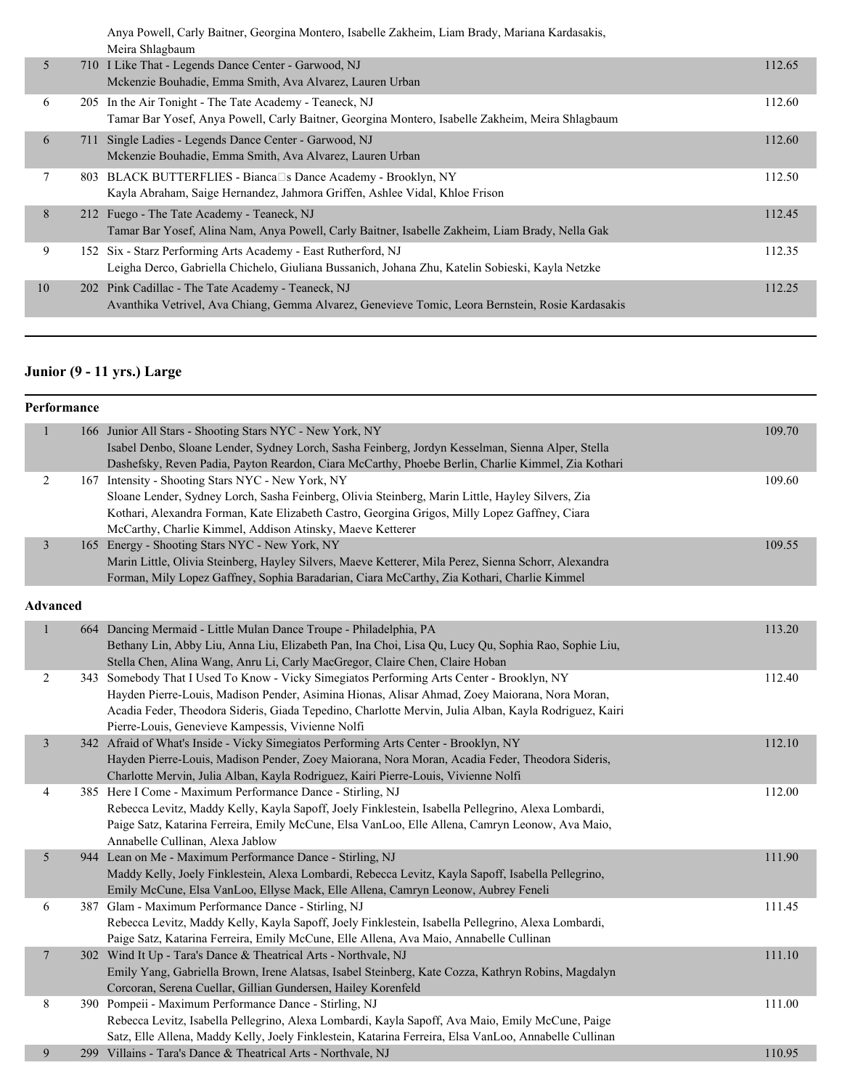Anya Powell, Carly Baitner, Georgina Montero, Isabelle Zakheim, Liam Brady, Mariana Kardasakis, Meira Shlagbaum

|    |     | ivicira Sinaguaum                                                                                                                                                 |        |
|----|-----|-------------------------------------------------------------------------------------------------------------------------------------------------------------------|--------|
| 5  |     | 710 I Like That - Legends Dance Center - Garwood, NJ<br>Mckenzie Bouhadie, Emma Smith, Ava Alvarez, Lauren Urban                                                  | 112.65 |
| 6  |     | 205 In the Air Tonight - The Tate Academy - Teaneck, NJ<br>Tamar Bar Yosef, Anya Powell, Carly Baitner, Georgina Montero, Isabelle Zakheim, Meira Shlagbaum       | 112.60 |
| 6  | 711 | Single Ladies - Legends Dance Center - Garwood, NJ<br>Mckenzie Bouhadie, Emma Smith, Ava Alvarez, Lauren Urban                                                    | 112.60 |
|    |     | 803 BLACK BUTTERFLIES - Bianca□s Dance Academy - Brooklyn, NY<br>Kayla Abraham, Saige Hernandez, Jahmora Griffen, Ashlee Vidal, Khloe Frison                      | 112.50 |
| 8  |     | 212 Fuego - The Tate Academy - Teaneck, NJ<br>Tamar Bar Yosef, Alina Nam, Anya Powell, Carly Baitner, Isabelle Zakheim, Liam Brady, Nella Gak                     | 112.45 |
| 9  |     | 152 Six - Starz Performing Arts Academy - East Rutherford, NJ<br>Leigha Derco, Gabriella Chichelo, Giuliana Bussanich, Johana Zhu, Katelin Sobieski, Kayla Netzke | 112.35 |
| 10 |     | 202 Pink Cadillac - The Tate Academy - Teaneck, NJ<br>Avanthika Vetrivel, Ava Chiang, Gemma Alvarez, Genevieve Tomic, Leora Bernstein, Rosie Kardasakis           | 112.25 |
|    |     |                                                                                                                                                                   |        |

# **Junior (9 - 11 yrs.) Large**

|                | Performance |                                                                                                                                                                                                                                                                                                                                                          |        |
|----------------|-------------|----------------------------------------------------------------------------------------------------------------------------------------------------------------------------------------------------------------------------------------------------------------------------------------------------------------------------------------------------------|--------|
| $\mathbf{1}$   |             | 166 Junior All Stars - Shooting Stars NYC - New York, NY<br>Isabel Denbo, Sloane Lender, Sydney Lorch, Sasha Feinberg, Jordyn Kesselman, Sienna Alper, Stella<br>Dashefsky, Reven Padia, Payton Reardon, Ciara McCarthy, Phoebe Berlin, Charlie Kimmel, Zia Kothari                                                                                      | 109.70 |
| $\overline{c}$ |             | 167 Intensity - Shooting Stars NYC - New York, NY<br>Sloane Lender, Sydney Lorch, Sasha Feinberg, Olivia Steinberg, Marin Little, Hayley Silvers, Zia<br>Kothari, Alexandra Forman, Kate Elizabeth Castro, Georgina Grigos, Milly Lopez Gaffney, Ciara<br>McCarthy, Charlie Kimmel, Addison Atinsky, Maeve Ketterer                                      | 109.60 |
| $\mathfrak{Z}$ |             | 165 Energy - Shooting Stars NYC - New York, NY<br>Marin Little, Olivia Steinberg, Hayley Silvers, Maeve Ketterer, Mila Perez, Sienna Schorr, Alexandra<br>Forman, Mily Lopez Gaffney, Sophia Baradarian, Ciara McCarthy, Zia Kothari, Charlie Kimmel                                                                                                     | 109.55 |
|                | Advanced    |                                                                                                                                                                                                                                                                                                                                                          |        |
| $\,1$          |             | 664 Dancing Mermaid - Little Mulan Dance Troupe - Philadelphia, PA<br>Bethany Lin, Abby Liu, Anna Liu, Elizabeth Pan, Ina Choi, Lisa Qu, Lucy Qu, Sophia Rao, Sophie Liu,<br>Stella Chen, Alina Wang, Anru Li, Carly MacGregor, Claire Chen, Claire Hoban                                                                                                | 113.20 |
| $\overline{c}$ |             | 343 Somebody That I Used To Know - Vicky Simegiatos Performing Arts Center - Brooklyn, NY<br>Hayden Pierre-Louis, Madison Pender, Asimina Hionas, Alisar Ahmad, Zoey Maiorana, Nora Moran,<br>Acadia Feder, Theodora Sideris, Giada Tepedino, Charlotte Mervin, Julia Alban, Kayla Rodriguez, Kairi<br>Pierre-Louis, Genevieve Kampessis, Vivienne Nolfi | 112.40 |
| $\overline{3}$ |             | 342 Afraid of What's Inside - Vicky Simegiatos Performing Arts Center - Brooklyn, NY<br>Hayden Pierre-Louis, Madison Pender, Zoey Maiorana, Nora Moran, Acadia Feder, Theodora Sideris,<br>Charlotte Mervin, Julia Alban, Kayla Rodriguez, Kairi Pierre-Louis, Vivienne Nolfi                                                                            | 112.10 |
| 4              |             | 385 Here I Come - Maximum Performance Dance - Stirling, NJ<br>Rebecca Levitz, Maddy Kelly, Kayla Sapoff, Joely Finklestein, Isabella Pellegrino, Alexa Lombardi,<br>Paige Satz, Katarina Ferreira, Emily McCune, Elsa VanLoo, Elle Allena, Camryn Leonow, Ava Maio,<br>Annabelle Cullinan, Alexa Jablow                                                  | 112.00 |
| $\sqrt{5}$     |             | 944 Lean on Me - Maximum Performance Dance - Stirling, NJ<br>Maddy Kelly, Joely Finklestein, Alexa Lombardi, Rebecca Levitz, Kayla Sapoff, Isabella Pellegrino,<br>Emily McCune, Elsa VanLoo, Ellyse Mack, Elle Allena, Camryn Leonow, Aubrey Feneli                                                                                                     | 111.90 |
| 6              |             | 387 Glam - Maximum Performance Dance - Stirling, NJ<br>Rebecca Levitz, Maddy Kelly, Kayla Sapoff, Joely Finklestein, Isabella Pellegrino, Alexa Lombardi,<br>Paige Satz, Katarina Ferreira, Emily McCune, Elle Allena, Ava Maio, Annabelle Cullinan                                                                                                      | 111.45 |
| $\overline{7}$ |             | 302 Wind It Up - Tara's Dance & Theatrical Arts - Northvale, NJ<br>Emily Yang, Gabriella Brown, Irene Alatsas, Isabel Steinberg, Kate Cozza, Kathryn Robins, Magdalyn<br>Corcoran, Serena Cuellar, Gillian Gundersen, Hailey Korenfeld                                                                                                                   | 111.10 |
| $\,8\,$        |             | 390 Pompeii - Maximum Performance Dance - Stirling, NJ<br>Rebecca Levitz, Isabella Pellegrino, Alexa Lombardi, Kayla Sapoff, Ava Maio, Emily McCune, Paige<br>Satz, Elle Allena, Maddy Kelly, Joely Finklestein, Katarina Ferreira, Elsa VanLoo, Annabelle Cullinan                                                                                      | 111.00 |
| 9              |             | 299 Villains - Tara's Dance & Theatrical Arts - Northvale, NJ                                                                                                                                                                                                                                                                                            | 110.95 |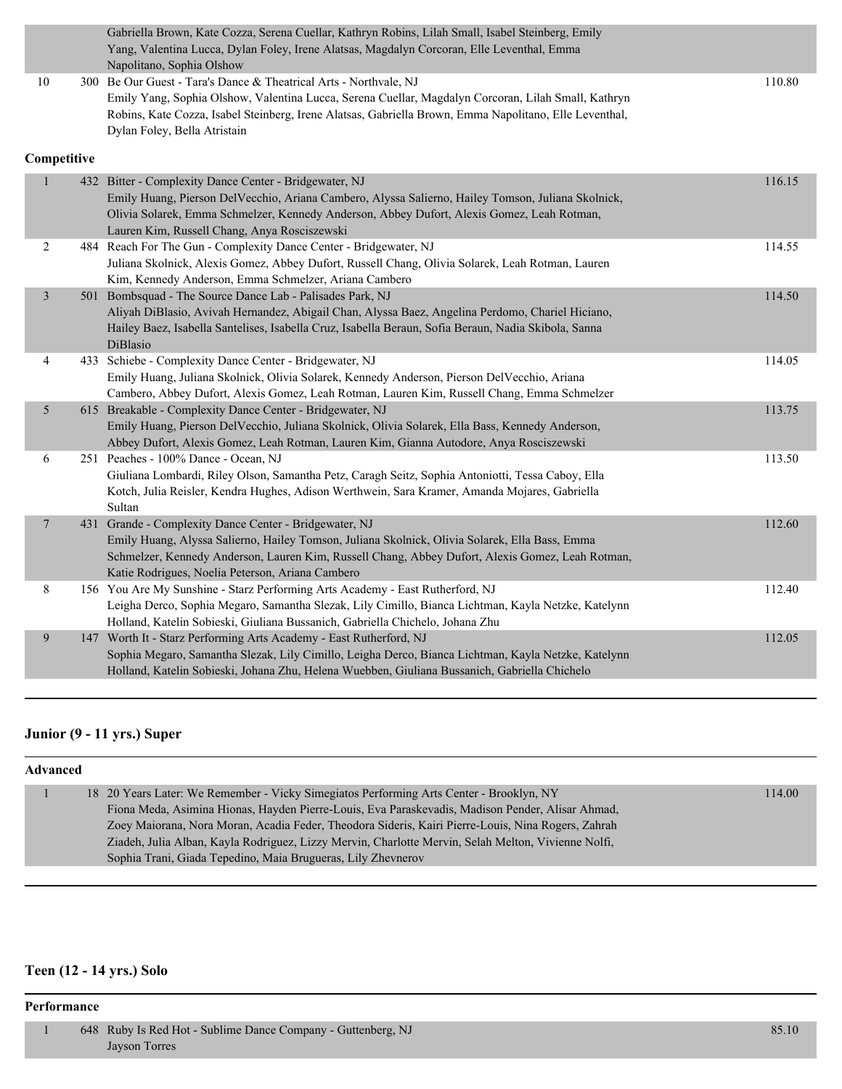|                         |             | Gabriella Brown, Kate Cozza, Serena Cuellar, Kathryn Robins, Lilah Small, Isabel Steinberg, Emily                                                                                          |        |
|-------------------------|-------------|--------------------------------------------------------------------------------------------------------------------------------------------------------------------------------------------|--------|
|                         |             | Yang, Valentina Lucca, Dylan Foley, Irene Alatsas, Magdalyn Corcoran, Elle Leventhal, Emma                                                                                                 |        |
|                         |             | Napolitano, Sophia Olshow                                                                                                                                                                  |        |
| 10                      |             | 300 Be Our Guest - Tara's Dance & Theatrical Arts - Northvale, NJ                                                                                                                          | 110.80 |
|                         |             | Emily Yang, Sophia Olshow, Valentina Lucca, Serena Cuellar, Magdalyn Corcoran, Lilah Small, Kathryn                                                                                        |        |
|                         |             | Robins, Kate Cozza, Isabel Steinberg, Irene Alatsas, Gabriella Brown, Emma Napolitano, Elle Leventhal,                                                                                     |        |
|                         |             | Dylan Foley, Bella Atristain                                                                                                                                                               |        |
|                         | Competitive |                                                                                                                                                                                            |        |
| 1                       |             | 432 Bitter - Complexity Dance Center - Bridgewater, NJ                                                                                                                                     | 116.15 |
|                         |             | Emily Huang, Pierson DelVecchio, Ariana Cambero, Alyssa Salierno, Hailey Tomson, Juliana Skolnick,                                                                                         |        |
|                         |             | Olivia Solarek, Emma Schmelzer, Kennedy Anderson, Abbey Dufort, Alexis Gomez, Leah Rotman,                                                                                                 |        |
|                         |             | Lauren Kim, Russell Chang, Anya Rosciszewski                                                                                                                                               |        |
| 2                       |             | 484 Reach For The Gun - Complexity Dance Center - Bridgewater, NJ                                                                                                                          | 114.55 |
|                         |             | Juliana Skolnick, Alexis Gomez, Abbey Dufort, Russell Chang, Olivia Solarek, Leah Rotman, Lauren                                                                                           |        |
|                         |             | Kim, Kennedy Anderson, Emma Schmelzer, Ariana Cambero                                                                                                                                      |        |
| $\overline{\mathbf{3}}$ |             | 501 Bombsquad - The Source Dance Lab - Palisades Park, NJ                                                                                                                                  | 114.50 |
|                         |             | Aliyah DiBlasio, Avivah Hernandez, Abigail Chan, Alyssa Baez, Angelina Perdomo, Chariel Hiciano,                                                                                           |        |
|                         |             | Hailey Baez, Isabella Santelises, Isabella Cruz, Isabella Beraun, Sofia Beraun, Nadia Skibola, Sanna                                                                                       |        |
|                         |             | DiBlasio                                                                                                                                                                                   |        |
| 4                       |             | 433 Schiebe - Complexity Dance Center - Bridgewater, NJ                                                                                                                                    | 114.05 |
|                         |             | Emily Huang, Juliana Skolnick, Olivia Solarek, Kennedy Anderson, Pierson DelVecchio, Ariana                                                                                                |        |
|                         |             | Cambero, Abbey Dufort, Alexis Gomez, Leah Rotman, Lauren Kim, Russell Chang, Emma Schmelzer                                                                                                |        |
| 5                       |             | 615 Breakable - Complexity Dance Center - Bridgewater, NJ                                                                                                                                  | 113.75 |
|                         |             | Emily Huang, Pierson DelVecchio, Juliana Skolnick, Olivia Solarek, Ella Bass, Kennedy Anderson,<br>Abbey Dufort, Alexis Gomez, Leah Rotman, Lauren Kim, Gianna Autodore, Anya Rosciszewski |        |
| 6                       |             | 251 Peaches - 100% Dance - Ocean, NJ                                                                                                                                                       | 113.50 |
|                         |             | Giuliana Lombardi, Riley Olson, Samantha Petz, Caragh Seitz, Sophia Antoniotti, Tessa Caboy, Ella                                                                                          |        |
|                         |             | Kotch, Julia Reisler, Kendra Hughes, Adison Werthwein, Sara Kramer, Amanda Mojares, Gabriella                                                                                              |        |
|                         |             | Sultan                                                                                                                                                                                     |        |
| $\overline{7}$          |             | 431 Grande - Complexity Dance Center - Bridgewater, NJ                                                                                                                                     | 112.60 |
|                         |             | Emily Huang, Alyssa Salierno, Hailey Tomson, Juliana Skolnick, Olivia Solarek, Ella Bass, Emma                                                                                             |        |
|                         |             | Schmelzer, Kennedy Anderson, Lauren Kim, Russell Chang, Abbey Dufort, Alexis Gomez, Leah Rotman,                                                                                           |        |
|                         |             | Katie Rodrigues, Noelia Peterson, Ariana Cambero                                                                                                                                           |        |
| 8                       |             | 156 You Are My Sunshine - Starz Performing Arts Academy - East Rutherford, NJ                                                                                                              | 112.40 |
|                         |             | Leigha Derco, Sophia Megaro, Samantha Slezak, Lily Cimillo, Bianca Lichtman, Kayla Netzke, Katelynn                                                                                        |        |
|                         |             | Holland, Katelin Sobieski, Giuliana Bussanich, Gabriella Chichelo, Johana Zhu                                                                                                              |        |
| 9                       |             | 147 Worth It - Starz Performing Arts Academy - East Rutherford, NJ                                                                                                                         | 112.05 |
|                         |             | Sophia Megaro, Samantha Slezak, Lily Cimillo, Leigha Derco, Bianca Lichtman, Kayla Netzke, Katelynn                                                                                        |        |
|                         |             | Holland, Katelin Sobieski, Johana Zhu, Helena Wuebben, Giuliana Bussanich, Gabriella Chichelo                                                                                              |        |

### **Junior (9 - 11 yrs.) Super**

| <b>Advanced</b> |                                                                                                     |        |  |  |  |
|-----------------|-----------------------------------------------------------------------------------------------------|--------|--|--|--|
|                 | 18 20 Years Later: We Remember - Vicky Simegiatos Performing Arts Center - Brooklyn, NY             | 114.00 |  |  |  |
|                 | Fiona Meda, Asimina Hionas, Hayden Pierre-Louis, Eva Paraskevadis, Madison Pender, Alisar Ahmad,    |        |  |  |  |
|                 | Zoey Maiorana, Nora Moran, Acadia Feder, Theodora Sideris, Kairi Pierre-Louis, Nina Rogers, Zahrah  |        |  |  |  |
|                 | Ziadeh, Julia Alban, Kayla Rodriguez, Lizzy Mervin, Charlotte Mervin, Selah Melton, Vivienne Nolfi, |        |  |  |  |
|                 | Sophia Trani, Giada Tepedino, Maia Brugueras, Lily Zhevnerov                                        |        |  |  |  |

# **Teen (12 - 14 yrs.) Solo**

#### **Performance**

| 648 Ruby Is Red Hot - Sublime Dance Company - Guttenberg, NJ | 85.10 |
|--------------------------------------------------------------|-------|
| Jayson Torres                                                |       |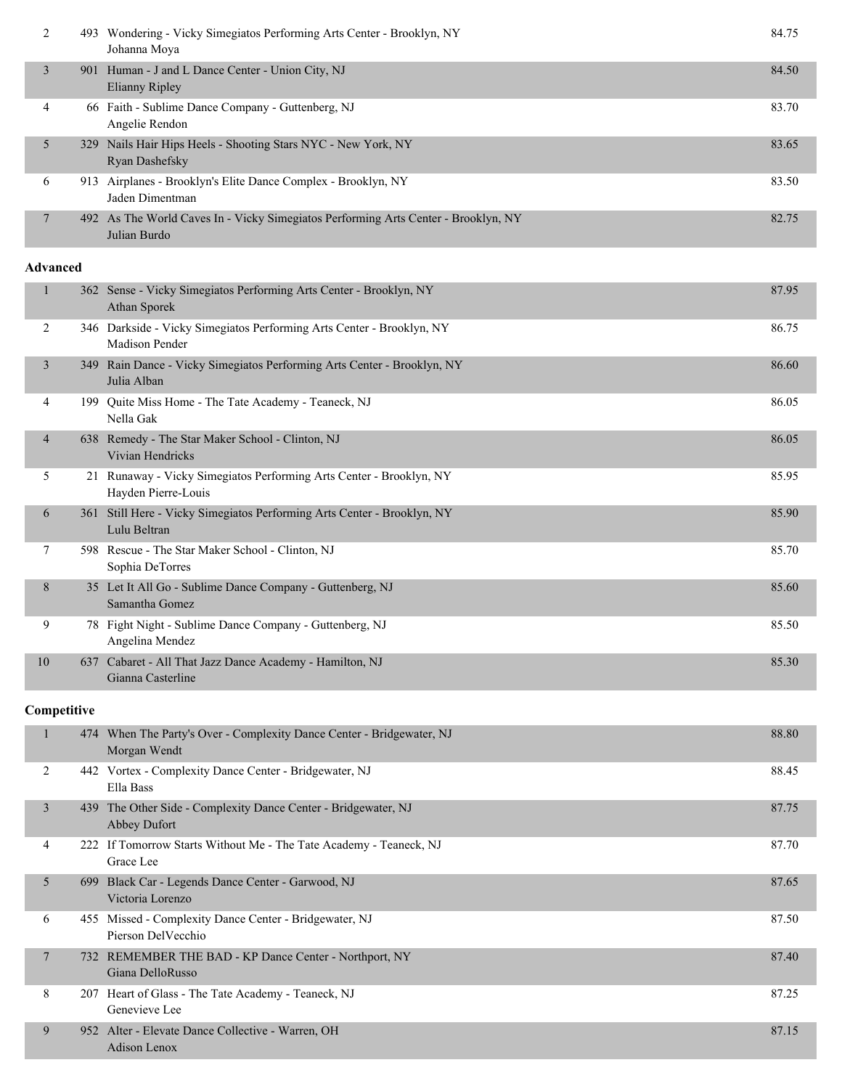| 2               | 493 Wondering - Vicky Simegiatos Performing Arts Center - Brooklyn, NY<br>Johanna Moya             | 84.75 |
|-----------------|----------------------------------------------------------------------------------------------------|-------|
| $\mathfrak{Z}$  | 901 Human - J and L Dance Center - Union City, NJ<br><b>Elianny Ripley</b>                         | 84.50 |
| 4               | 66 Faith - Sublime Dance Company - Guttenberg, NJ<br>Angelie Rendon                                | 83.70 |
| 5               | 329 Nails Hair Hips Heels - Shooting Stars NYC - New York, NY<br>Ryan Dashefsky                    | 83.65 |
| 6               | 913 Airplanes - Brooklyn's Elite Dance Complex - Brooklyn, NY<br>Jaden Dimentman                   | 83.50 |
| 7               | 492 As The World Caves In - Vicky Simegiatos Performing Arts Center - Brooklyn, NY<br>Julian Burdo | 82.75 |
| <b>Advanced</b> |                                                                                                    |       |
| $\mathbf{1}$    | 362 Sense - Vicky Simegiatos Performing Arts Center - Brooklyn, NY<br>Athan Sporek                 | 87.95 |
| 2               | 346 Darkside - Vicky Simegiatos Performing Arts Center - Brooklyn, NY<br>Madison Pender            | 86.75 |
| 3               | 349 Rain Dance - Vicky Simegiatos Performing Arts Center - Brooklyn, NY<br>Julia Alban             | 86.60 |
| 4               | 199 Quite Miss Home - The Tate Academy - Teaneck, NJ<br>Nella Gak                                  | 86.05 |
| 4               | 638 Remedy - The Star Maker School - Clinton, NJ<br>Vivian Hendricks                               | 86.05 |
| 5               | 21 Runaway - Vicky Simegiatos Performing Arts Center - Brooklyn, NY<br>Hayden Pierre-Louis         | 85.95 |
| 6               | 361 Still Here - Vicky Simegiatos Performing Arts Center - Brooklyn, NY<br>Lulu Beltran            | 85.90 |
| 7               | 598 Rescue - The Star Maker School - Clinton, NJ<br>Sophia DeTorres                                | 85.70 |
| 8               | 35 Let It All Go - Sublime Dance Company - Guttenberg, NJ<br>Samantha Gomez                        | 85.60 |
| 9               | 78 Fight Night - Sublime Dance Company - Guttenberg, NJ<br>Angelina Mendez                         | 85.50 |
| 10              | 637 Cabaret - All That Jazz Dance Academy - Hamilton, NJ<br>Gianna Casterline                      | 85.30 |
| Competitive     |                                                                                                    |       |
| 1               | 474 When The Party's Over - Complexity Dance Center - Bridgewater, NJ<br>Morgan Wendt              | 88.80 |
| 2               | 442 Vortex - Complexity Dance Center - Bridgewater, NJ<br>Ella Bass                                | 88.45 |
| $\mathfrak{Z}$  | 439 The Other Side - Complexity Dance Center - Bridgewater, NJ<br>Abbey Dufort                     | 87.75 |
| 4               | 222 If Tomorrow Starts Without Me - The Tate Academy - Teaneck, NJ<br>Grace Lee                    | 87.70 |
| 5               | 699 Black Car - Legends Dance Center - Garwood, NJ<br>Victoria Lorenzo                             | 87.65 |
| 6               | 455 Missed - Complexity Dance Center - Bridgewater, NJ                                             | 87.50 |

Pierson DelVecchio 7 732 REMEMBER THE BAD - KP Dance Center - Northport, NY 87.40 Giana DelloRusso 8 207 Heart of Glass - The Tate Academy - Teaneck, NJ 87.25 Genevieve Lee

 9 952 Alter - Elevate Dance Collective - Warren, OH 87.15 Adison Lenox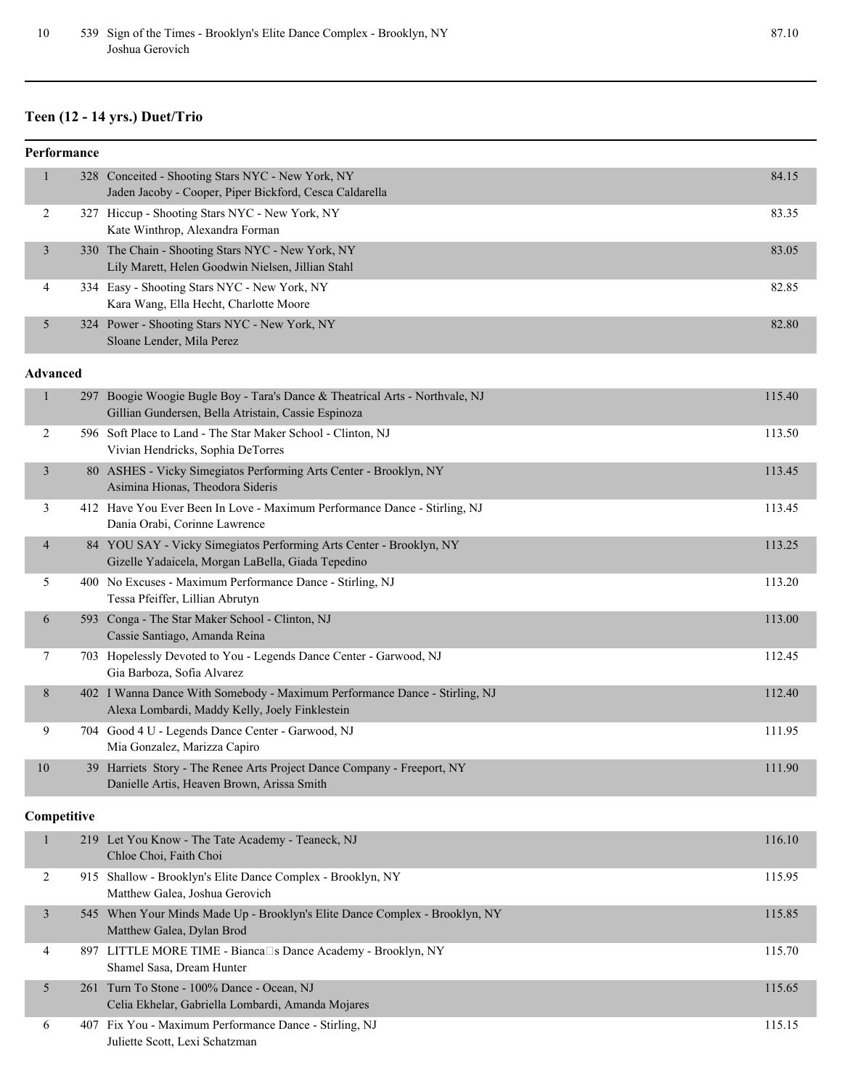# **Teen (12 - 14 yrs.) Duet/Trio**

| Performance    |                 |                                                                                                                                     |        |  |
|----------------|-----------------|-------------------------------------------------------------------------------------------------------------------------------------|--------|--|
| 1              |                 | 328 Conceited - Shooting Stars NYC - New York, NY<br>Jaden Jacoby - Cooper, Piper Bickford, Cesca Caldarella                        | 84.15  |  |
| 2              |                 | 327 Hiccup - Shooting Stars NYC - New York, NY<br>Kate Winthrop, Alexandra Forman                                                   | 83.35  |  |
| $\mathfrak{Z}$ |                 | 330 The Chain - Shooting Stars NYC - New York, NY<br>Lily Marett, Helen Goodwin Nielsen, Jillian Stahl                              | 83.05  |  |
| 4              |                 | 334 Easy - Shooting Stars NYC - New York, NY<br>Kara Wang, Ella Hecht, Charlotte Moore                                              | 82.85  |  |
| 5              |                 | 324 Power - Shooting Stars NYC - New York, NY<br>Sloane Lender, Mila Perez                                                          | 82.80  |  |
|                | <b>Advanced</b> |                                                                                                                                     |        |  |
| $\mathbf{1}$   |                 | 297 Boogie Woogie Bugle Boy - Tara's Dance & Theatrical Arts - Northvale, NJ<br>Gillian Gundersen, Bella Atristain, Cassie Espinoza | 115.40 |  |
| 2              |                 | 596 Soft Place to Land - The Star Maker School - Clinton, NJ<br>Vivian Hendricks, Sophia DeTorres                                   | 113.50 |  |
| 3              |                 | 80 ASHES - Vicky Simegiatos Performing Arts Center - Brooklyn, NY<br>Asimina Hionas, Theodora Sideris                               | 113.45 |  |
| 3              |                 | 412 Have You Ever Been In Love - Maximum Performance Dance - Stirling, NJ<br>Dania Orabi, Corinne Lawrence                          | 113.45 |  |
| 4              |                 | 84 YOU SAY - Vicky Simegiatos Performing Arts Center - Brooklyn, NY<br>Gizelle Yadaicela, Morgan LaBella, Giada Tepedino            | 113.25 |  |
| 5              |                 | 400 No Excuses - Maximum Performance Dance - Stirling, NJ<br>Tessa Pfeiffer, Lillian Abrutyn                                        | 113.20 |  |
| 6              |                 | 593 Conga - The Star Maker School - Clinton, NJ<br>Cassie Santiago, Amanda Reina                                                    | 113.00 |  |
| 7              |                 | 703 Hopelessly Devoted to You - Legends Dance Center - Garwood, NJ<br>Gia Barboza, Sofia Alvarez                                    | 112.45 |  |
| 8              |                 | 402 I Wanna Dance With Somebody - Maximum Performance Dance - Stirling, NJ<br>Alexa Lombardi, Maddy Kelly, Joely Finklestein        | 112.40 |  |
| 9              |                 | 704 Good 4 U - Legends Dance Center - Garwood, NJ<br>Mia Gonzalez, Marizza Capiro                                                   | 111.95 |  |
| 10             |                 | 39 Harriets Story - The Renee Arts Project Dance Company - Freeport, NY<br>Danielle Artis, Heaven Brown, Arissa Smith               | 111.90 |  |
|                | Competitive     |                                                                                                                                     |        |  |
| $\mathbf{1}$   |                 | 219 Let You Know - The Tate Academy - Teaneck, NJ<br>Chloe Choi, Faith Choi                                                         | 116.10 |  |
| 2              |                 | 915 Shallow - Brooklyn's Elite Dance Complex - Brooklyn, NY<br>Matthew Galea, Joshua Gerovich                                       | 115.95 |  |
| $\mathfrak{Z}$ |                 | 545 When Your Minds Made Up - Brooklyn's Elite Dance Complex - Brooklyn, NY<br>Matthew Galea, Dylan Brod                            | 115.85 |  |
| 4              |                 | 897 LITTLE MORE TIME - Bianca□s Dance Academy - Brooklyn, NY<br>Shamel Sasa, Dream Hunter                                           | 115.70 |  |
| 5              |                 | 261 Turn To Stone - 100% Dance - Ocean, NJ<br>Celia Ekhelar, Gabriella Lombardi, Amanda Mojares                                     | 115.65 |  |
| 6              |                 | 407 Fix You - Maximum Performance Dance - Stirling, NJ<br>Juliette Scott, Lexi Schatzman                                            | 115.15 |  |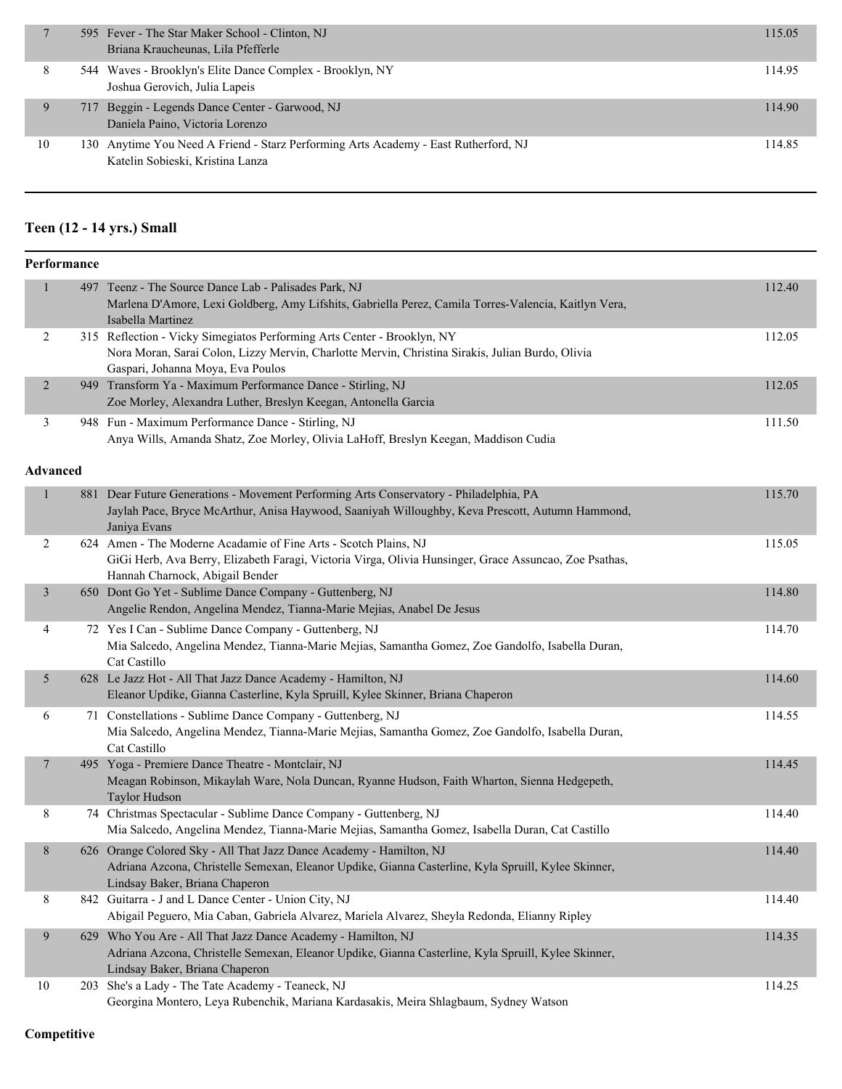|    | 595 Fever - The Star Maker School - Clinton, NJ<br>Briana Kraucheunas, Lila Pfefferle                                   | 115.05 |
|----|-------------------------------------------------------------------------------------------------------------------------|--------|
| 8  | 544 Waves - Brooklyn's Elite Dance Complex - Brooklyn, NY<br>Joshua Gerovich, Julia Lapeis                              | 114.95 |
| 9  | 717 Beggin - Legends Dance Center - Garwood, NJ<br>Daniela Paino, Victoria Lorenzo                                      | 114.90 |
| 10 | 130 Anytime You Need A Friend - Starz Performing Arts Academy - East Rutherford, NJ<br>Katelin Sobieski, Kristina Lanza | 114.85 |

### **Teen (12 - 14 yrs.) Small**

| Performance     |     |                                                                                                                                                                                                                  |        |  |
|-----------------|-----|------------------------------------------------------------------------------------------------------------------------------------------------------------------------------------------------------------------|--------|--|
| $\mathbf{1}$    | 497 | Teenz - The Source Dance Lab - Palisades Park, NJ<br>Marlena D'Amore, Lexi Goldberg, Amy Lifshits, Gabriella Perez, Camila Torres-Valencia, Kaitlyn Vera,<br>Isabella Martinez                                   | 112.40 |  |
| $\overline{2}$  |     | 315 Reflection - Vicky Simegiatos Performing Arts Center - Brooklyn, NY<br>Nora Moran, Sarai Colon, Lizzy Mervin, Charlotte Mervin, Christina Sirakis, Julian Burdo, Olivia<br>Gaspari, Johanna Moya, Eva Poulos | 112.05 |  |
| $\overline{2}$  |     | 949 Transform Ya - Maximum Performance Dance - Stirling, NJ<br>Zoe Morley, Alexandra Luther, Breslyn Keegan, Antonella Garcia                                                                                    | 112.05 |  |
| 3               |     | 948 Fun - Maximum Performance Dance - Stirling, NJ<br>Anya Wills, Amanda Shatz, Zoe Morley, Olivia LaHoff, Breslyn Keegan, Maddison Cudia                                                                        | 111.50 |  |
| <b>Advanced</b> |     |                                                                                                                                                                                                                  |        |  |
| $\mathbf{1}$    |     | 881 Dear Future Generations - Movement Performing Arts Conservatory - Philadelphia, PA<br>Jaylah Pace, Bryce McArthur, Anisa Haywood, Saaniyah Willoughby, Keva Prescott, Autumn Hammond,<br>Janiya Evans        | 115.70 |  |
| 2               |     | 624 Amen - The Moderne Acadamie of Fine Arts - Scotch Plains, NJ<br>GiGi Herb, Ava Berry, Elizabeth Faragi, Victoria Virga, Olivia Hunsinger, Grace Assuncao, Zoe Psathas,<br>Hannah Charnock, Abigail Bender    | 115.05 |  |
| $\mathfrak{Z}$  |     | 650 Dont Go Yet - Sublime Dance Company - Guttenberg, NJ<br>Angelie Rendon, Angelina Mendez, Tianna-Marie Mejias, Anabel De Jesus                                                                                | 114.80 |  |
| 4               |     | 72 Yes I Can - Sublime Dance Company - Guttenberg, NJ<br>Mia Salcedo, Angelina Mendez, Tianna-Marie Mejias, Samantha Gomez, Zoe Gandolfo, Isabella Duran,<br>Cat Castillo                                        | 114.70 |  |
| 5               |     | 628 Le Jazz Hot - All That Jazz Dance Academy - Hamilton, NJ<br>Eleanor Updike, Gianna Casterline, Kyla Spruill, Kylee Skinner, Briana Chaperon                                                                  | 114.60 |  |
| 6               |     | 71 Constellations - Sublime Dance Company - Guttenberg, NJ<br>Mia Salcedo, Angelina Mendez, Tianna-Marie Mejias, Samantha Gomez, Zoe Gandolfo, Isabella Duran,<br>Cat Castillo                                   | 114.55 |  |
| $\tau$          |     | 495 Yoga - Premiere Dance Theatre - Montclair, NJ<br>Meagan Robinson, Mikaylah Ware, Nola Duncan, Ryanne Hudson, Faith Wharton, Sienna Hedgepeth,<br>Taylor Hudson                                               | 114.45 |  |
| 8               |     | 74 Christmas Spectacular - Sublime Dance Company - Guttenberg, NJ<br>Mia Salcedo, Angelina Mendez, Tianna-Marie Mejias, Samantha Gomez, Isabella Duran, Cat Castillo                                             | 114.40 |  |
| 8               |     | 626 Orange Colored Sky - All That Jazz Dance Academy - Hamilton, NJ<br>Adriana Azcona, Christelle Semexan, Eleanor Updike, Gianna Casterline, Kyla Spruill, Kylee Skinner,<br>Lindsay Baker, Briana Chaperon     | 114.40 |  |
| 8               |     | 842 Guitarra - J and L Dance Center - Union City, NJ<br>Abigail Peguero, Mia Caban, Gabriela Alvarez, Mariela Alvarez, Sheyla Redonda, Elianny Ripley                                                            | 114.40 |  |
| 9               |     | 629 Who You Are - All That Jazz Dance Academy - Hamilton, NJ<br>Adriana Azcona, Christelle Semexan, Eleanor Updike, Gianna Casterline, Kyla Spruill, Kylee Skinner,<br>Lindsay Baker, Briana Chaperon            | 114.35 |  |
| 10              |     | 203 She's a Lady - The Tate Academy - Teaneck, NJ<br>Georgina Montero, Leya Rubenchik, Mariana Kardasakis, Meira Shlagbaum, Sydney Watson                                                                        | 114.25 |  |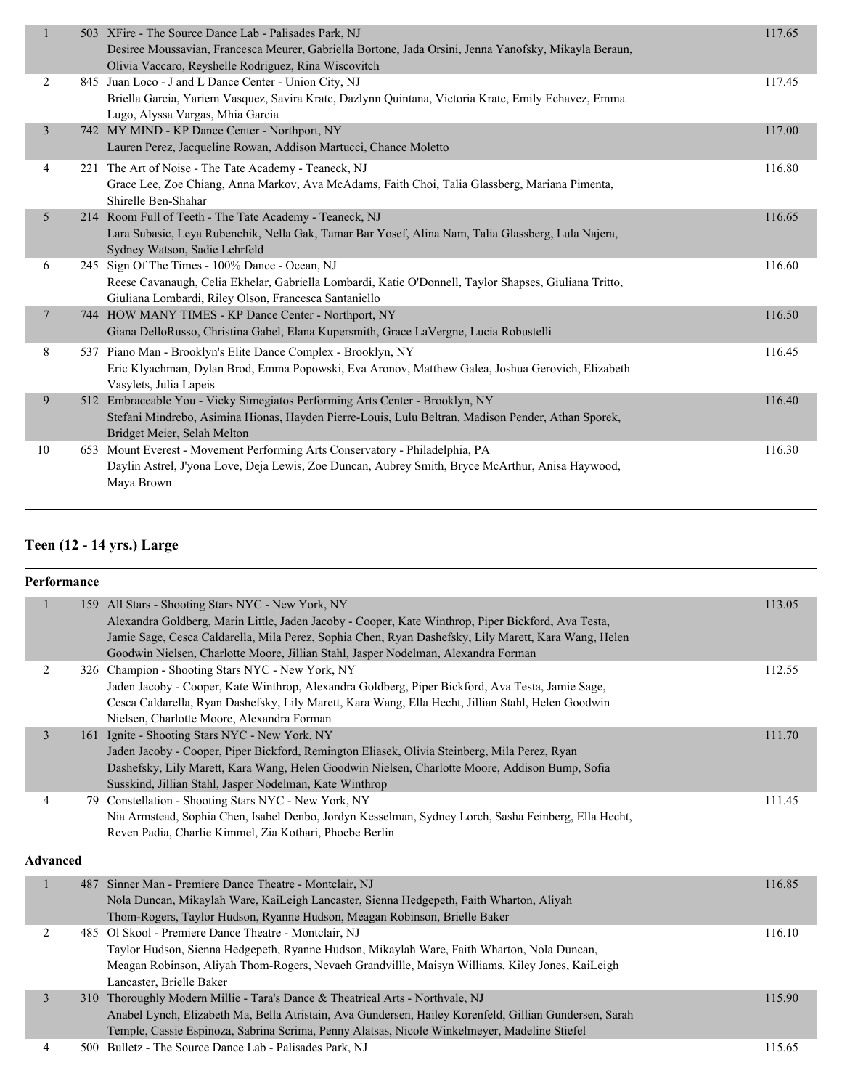| $\mathbf{1}$<br>503 XFire - The Source Dance Lab - Palisades Park, NJ<br>Desiree Moussavian, Francesca Meurer, Gabriella Bortone, Jada Orsini, Jenna Yanofsky, Mikayla Beraun,<br>Olivia Vaccaro, Reyshelle Rodriguez, Rina Wiscovitch<br>845 Juan Loco - J and L Dance Center - Union City, NJ<br>2<br>Briella Garcia, Yariem Vasquez, Savira Kratc, Dazlynn Quintana, Victoria Kratc, Emily Echavez, Emma<br>Lugo, Alyssa Vargas, Mhia Garcia<br>742 MY MIND - KP Dance Center - Northport, NY<br>3<br>Lauren Perez, Jacqueline Rowan, Addison Martucci, Chance Moletto<br>221 The Art of Noise - The Tate Academy - Teaneck, NJ<br>4 | 117.65<br>117.45<br>117.00<br>116.80 |
|-----------------------------------------------------------------------------------------------------------------------------------------------------------------------------------------------------------------------------------------------------------------------------------------------------------------------------------------------------------------------------------------------------------------------------------------------------------------------------------------------------------------------------------------------------------------------------------------------------------------------------------------|--------------------------------------|
|                                                                                                                                                                                                                                                                                                                                                                                                                                                                                                                                                                                                                                         |                                      |
|                                                                                                                                                                                                                                                                                                                                                                                                                                                                                                                                                                                                                                         |                                      |
|                                                                                                                                                                                                                                                                                                                                                                                                                                                                                                                                                                                                                                         |                                      |
| Grace Lee, Zoe Chiang, Anna Markov, Ava McAdams, Faith Choi, Talia Glassberg, Mariana Pimenta,<br>Shirelle Ben-Shahar                                                                                                                                                                                                                                                                                                                                                                                                                                                                                                                   |                                      |
| 5<br>214 Room Full of Teeth - The Tate Academy - Teaneck, NJ<br>Lara Subasic, Leya Rubenchik, Nella Gak, Tamar Bar Yosef, Alina Nam, Talia Glassberg, Lula Najera,<br>Sydney Watson, Sadie Lehrfeld                                                                                                                                                                                                                                                                                                                                                                                                                                     | 116.65                               |
| 245 Sign Of The Times - 100% Dance - Ocean, NJ<br>6<br>Reese Cavanaugh, Celia Ekhelar, Gabriella Lombardi, Katie O'Donnell, Taylor Shapses, Giuliana Tritto,<br>Giuliana Lombardi, Riley Olson, Francesca Santaniello                                                                                                                                                                                                                                                                                                                                                                                                                   | 116.60                               |
| 744 HOW MANY TIMES - KP Dance Center - Northport, NY<br>7<br>Giana DelloRusso, Christina Gabel, Elana Kupersmith, Grace LaVergne, Lucia Robustelli                                                                                                                                                                                                                                                                                                                                                                                                                                                                                      | 116.50                               |
| 8<br>537 Piano Man - Brooklyn's Elite Dance Complex - Brooklyn, NY<br>Eric Klyachman, Dylan Brod, Emma Popowski, Eva Aronov, Matthew Galea, Joshua Gerovich, Elizabeth<br>Vasylets, Julia Lapeis                                                                                                                                                                                                                                                                                                                                                                                                                                        | 116.45                               |
| 512 Embraceable You - Vicky Simegiatos Performing Arts Center - Brooklyn, NY<br>9<br>Stefani Mindrebo, Asimina Hionas, Hayden Pierre-Louis, Lulu Beltran, Madison Pender, Athan Sporek,<br>Bridget Meier, Selah Melton                                                                                                                                                                                                                                                                                                                                                                                                                  | 116.40                               |
| 653 Mount Everest - Movement Performing Arts Conservatory - Philadelphia, PA<br>10<br>Daylin Astrel, J'yona Love, Deja Lewis, Zoe Duncan, Aubrey Smith, Bryce McArthur, Anisa Haywood,<br>Maya Brown                                                                                                                                                                                                                                                                                                                                                                                                                                    | 116.30                               |

### **Teen (12 - 14 yrs.) Large**

| Performance     |                                                                                                                                                                                                                                                                                                                                                       |        |
|-----------------|-------------------------------------------------------------------------------------------------------------------------------------------------------------------------------------------------------------------------------------------------------------------------------------------------------------------------------------------------------|--------|
| 1               | 159 All Stars - Shooting Stars NYC - New York, NY<br>Alexandra Goldberg, Marin Little, Jaden Jacoby - Cooper, Kate Winthrop, Piper Bickford, Ava Testa,<br>Jamie Sage, Cesca Caldarella, Mila Perez, Sophia Chen, Ryan Dashefsky, Lily Marett, Kara Wang, Helen<br>Goodwin Nielsen, Charlotte Moore, Jillian Stahl, Jasper Nodelman, Alexandra Forman | 113.05 |
| 2               | 326 Champion - Shooting Stars NYC - New York, NY<br>Jaden Jacoby - Cooper, Kate Winthrop, Alexandra Goldberg, Piper Bickford, Ava Testa, Jamie Sage,<br>Cesca Caldarella, Ryan Dashefsky, Lily Marett, Kara Wang, Ella Hecht, Jillian Stahl, Helen Goodwin<br>Nielsen, Charlotte Moore, Alexandra Forman                                              | 112.55 |
| $\mathfrak{Z}$  | 161 Ignite - Shooting Stars NYC - New York, NY<br>Jaden Jacoby - Cooper, Piper Bickford, Remington Eliasek, Olivia Steinberg, Mila Perez, Ryan<br>Dashefsky, Lily Marett, Kara Wang, Helen Goodwin Nielsen, Charlotte Moore, Addison Bump, Sofia<br>Susskind, Jillian Stahl, Jasper Nodelman, Kate Winthrop                                           | 111.70 |
| $\overline{4}$  | 79 Constellation - Shooting Stars NYC - New York, NY<br>Nia Armstead, Sophia Chen, Isabel Denbo, Jordyn Kesselman, Sydney Lorch, Sasha Feinberg, Ella Hecht,<br>Reven Padia, Charlie Kimmel, Zia Kothari, Phoebe Berlin                                                                                                                               | 111.45 |
| <b>Advanced</b> |                                                                                                                                                                                                                                                                                                                                                       |        |
| $\,1\,$         | 487 Sinner Man - Premiere Dance Theatre - Montclair, NJ<br>Nola Duncan, Mikaylah Ware, KaiLeigh Lancaster, Sienna Hedgepeth, Faith Wharton, Aliyah<br>Thom-Rogers, Taylor Hudson, Ryanne Hudson, Meagan Robinson, Brielle Baker                                                                                                                       | 116.85 |
| 2               | 485 Ol Skool - Premiere Dance Theatre - Montclair, NJ<br>Taylor Hudson, Sienna Hedgepeth, Ryanne Hudson, Mikaylah Ware, Faith Wharton, Nola Duncan,<br>Meagan Robinson, Aliyah Thom-Rogers, Nevaeh Grandvillle, Maisyn Williams, Kiley Jones, KaiLeigh<br>Lancaster, Brielle Baker                                                                    | 116.10 |
| $\overline{3}$  | 310 Thoroughly Modern Millie - Tara's Dance & Theatrical Arts - Northvale, NJ<br>Anabel Lynch, Elizabeth Ma, Bella Atristain, Ava Gundersen, Hailey Korenfeld, Gillian Gundersen, Sarah<br>Temple, Cassie Espinoza, Sabrina Scrima, Penny Alatsas, Nicole Winkelmeyer, Madeline Stiefel                                                               | 115.90 |
| $\overline{4}$  | 500 Bulletz - The Source Dance Lab - Palisades Park, NJ                                                                                                                                                                                                                                                                                               | 115.65 |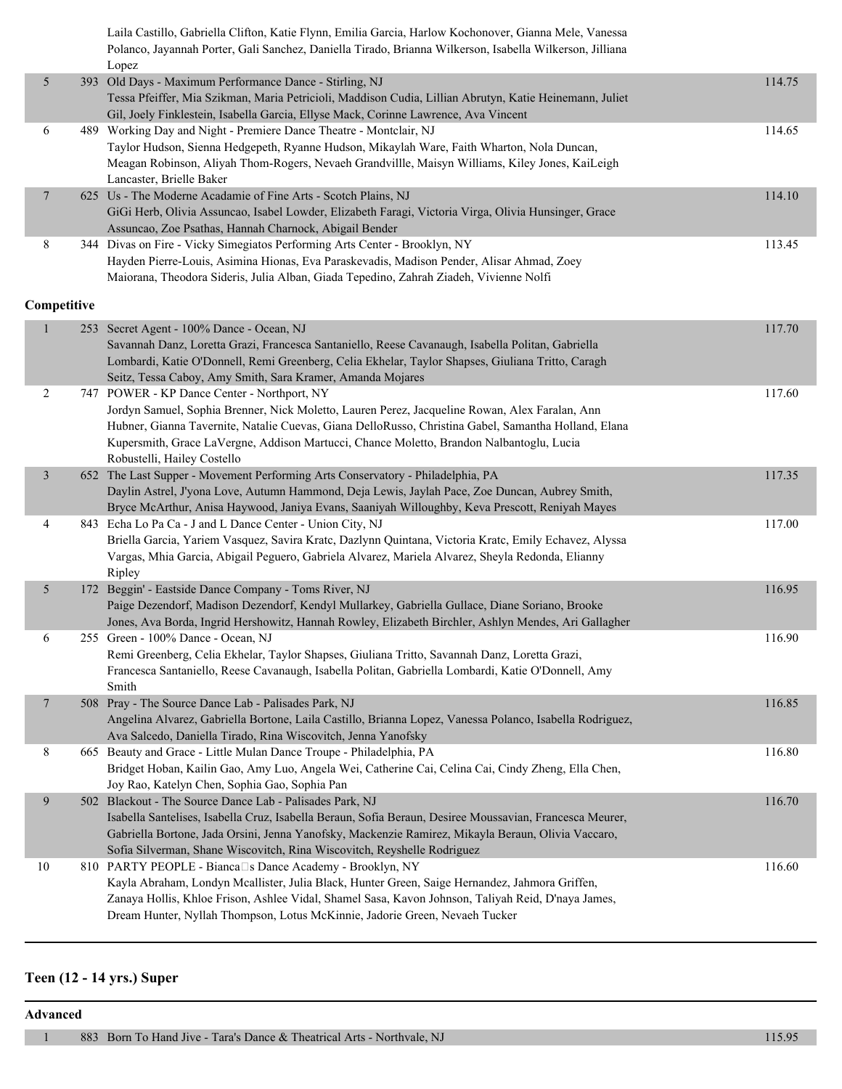Laila Castillo, Gabriella Clifton, Katie Flynn, Emilia Garcia, Harlow Kochonover, Gianna Mele, Vanessa Polanco, Jayannah Porter, Gali Sanchez, Daniella Tirado, Brianna Wilkerson, Isabella Wilkerson, Jilliana

|                | Lopez                                                                                                    |        |
|----------------|----------------------------------------------------------------------------------------------------------|--------|
| 5              | 393 Old Days - Maximum Performance Dance - Stirling, NJ                                                  | 114.75 |
|                | Tessa Pfeiffer, Mia Szikman, Maria Petricioli, Maddison Cudia, Lillian Abrutyn, Katie Heinemann, Juliet  |        |
|                | Gil, Joely Finklestein, Isabella Garcia, Ellyse Mack, Corinne Lawrence, Ava Vincent                      |        |
| 6              | 489 Working Day and Night - Premiere Dance Theatre - Montclair, NJ                                       | 114.65 |
|                | Taylor Hudson, Sienna Hedgepeth, Ryanne Hudson, Mikaylah Ware, Faith Wharton, Nola Duncan,               |        |
|                | Meagan Robinson, Aliyah Thom-Rogers, Nevaeh Grandvillle, Maisyn Williams, Kiley Jones, KaiLeigh          |        |
|                | Lancaster, Brielle Baker                                                                                 |        |
| $\tau$         | 625 Us - The Moderne Acadamie of Fine Arts - Scotch Plains, NJ                                           | 114.10 |
|                | GiGi Herb, Olivia Assuncao, Isabel Lowder, Elizabeth Faragi, Victoria Virga, Olivia Hunsinger, Grace     |        |
|                | Assuncao, Zoe Psathas, Hannah Charnock, Abigail Bender                                                   |        |
| 8              | 344 Divas on Fire - Vicky Simegiatos Performing Arts Center - Brooklyn, NY                               | 113.45 |
|                | Hayden Pierre-Louis, Asimina Hionas, Eva Paraskevadis, Madison Pender, Alisar Ahmad, Zoey                |        |
|                | Maiorana, Theodora Sideris, Julia Alban, Giada Tepedino, Zahrah Ziadeh, Vivienne Nolfi                   |        |
|                |                                                                                                          |        |
| Competitive    |                                                                                                          |        |
| $\mathbf{1}$   | 253 Secret Agent - 100% Dance - Ocean, NJ                                                                | 117.70 |
|                | Savannah Danz, Loretta Grazi, Francesca Santaniello, Reese Cavanaugh, Isabella Politan, Gabriella        |        |
|                | Lombardi, Katie O'Donnell, Remi Greenberg, Celia Ekhelar, Taylor Shapses, Giuliana Tritto, Caragh        |        |
|                | Seitz, Tessa Caboy, Amy Smith, Sara Kramer, Amanda Mojares                                               |        |
| $\overline{2}$ | 747 POWER - KP Dance Center - Northport, NY                                                              | 117.60 |
|                | Jordyn Samuel, Sophia Brenner, Nick Moletto, Lauren Perez, Jacqueline Rowan, Alex Faralan, Ann           |        |
|                | Hubner, Gianna Tavernite, Natalie Cuevas, Giana DelloRusso, Christina Gabel, Samantha Holland, Elana     |        |
|                | Kupersmith, Grace LaVergne, Addison Martucci, Chance Moletto, Brandon Nalbantoglu, Lucia                 |        |
|                | Robustelli, Hailey Costello                                                                              |        |
| $\mathfrak{Z}$ | 652 The Last Supper - Movement Performing Arts Conservatory - Philadelphia, PA                           | 117.35 |
|                | Daylin Astrel, J'yona Love, Autumn Hammond, Deja Lewis, Jaylah Pace, Zoe Duncan, Aubrey Smith,           |        |
|                | Bryce McArthur, Anisa Haywood, Janiya Evans, Saaniyah Willoughby, Keva Prescott, Reniyah Mayes           |        |
| 4              | 843 Echa Lo Pa Ca - J and L Dance Center - Union City, NJ                                                | 117.00 |
|                | Briella Garcia, Yariem Vasquez, Savira Kratc, Dazlynn Quintana, Victoria Kratc, Emily Echavez, Alyssa    |        |
|                | Vargas, Mhia Garcia, Abigail Peguero, Gabriela Alvarez, Mariela Alvarez, Sheyla Redonda, Elianny         |        |
|                | Ripley                                                                                                   |        |
| 5              | 172 Beggin' - Eastside Dance Company - Toms River, NJ                                                    | 116.95 |
|                | Paige Dezendorf, Madison Dezendorf, Kendyl Mullarkey, Gabriella Gullace, Diane Soriano, Brooke           |        |
|                | Jones, Ava Borda, Ingrid Hershowitz, Hannah Rowley, Elizabeth Birchler, Ashlyn Mendes, Ari Gallagher     |        |
| 6              | 255 Green - 100% Dance - Ocean, NJ                                                                       | 116.90 |
|                | Remi Greenberg, Celia Ekhelar, Taylor Shapses, Giuliana Tritto, Savannah Danz, Loretta Grazi,            |        |
|                | Francesca Santaniello, Reese Cavanaugh, Isabella Politan, Gabriella Lombardi, Katie O'Donnell, Amy       |        |
|                | Smith                                                                                                    |        |
| 7              | 508 Pray - The Source Dance Lab - Palisades Park, NJ                                                     | 116.85 |
|                | Angelina Alvarez, Gabriella Bortone, Laila Castillo, Brianna Lopez, Vanessa Polanco, Isabella Rodriguez, |        |
|                | Ava Salcedo, Daniella Tirado, Rina Wiscovitch, Jenna Yanofsky                                            |        |
| 8              | 665 Beauty and Grace - Little Mulan Dance Troupe - Philadelphia, PA                                      | 116.80 |
|                | Bridget Hoban, Kailin Gao, Amy Luo, Angela Wei, Catherine Cai, Celina Cai, Cindy Zheng, Ella Chen,       |        |
|                | Joy Rao, Katelyn Chen, Sophia Gao, Sophia Pan                                                            |        |
| 9              | 502 Blackout - The Source Dance Lab - Palisades Park, NJ                                                 | 116.70 |
|                | Isabella Santelises, Isabella Cruz, Isabella Beraun, Sofía Beraun, Desiree Moussavian, Francesca Meurer, |        |
|                | Gabriella Bortone, Jada Orsini, Jenna Yanofsky, Mackenzie Ramirez, Mikayla Beraun, Olivia Vaccaro,       |        |
|                | Sofia Silverman, Shane Wiscovitch, Rina Wiscovitch, Reyshelle Rodriguez                                  |        |
| 10             | 810 PARTY PEOPLE - Bianca□s Dance Academy - Brooklyn, NY                                                 | 116.60 |
|                | Kayla Abraham, Londyn Mcallister, Julia Black, Hunter Green, Saige Hernandez, Jahmora Griffen,           |        |
|                | Zanaya Hollis, Khloe Frison, Ashlee Vidal, Shamel Sasa, Kavon Johnson, Taliyah Reid, D'naya James,       |        |
|                | Dream Hunter, Nyllah Thompson, Lotus McKinnie, Jadorie Green, Nevaeh Tucker                              |        |
|                |                                                                                                          |        |

#### **Teen (12 - 14 yrs.) Super**

**Advanced**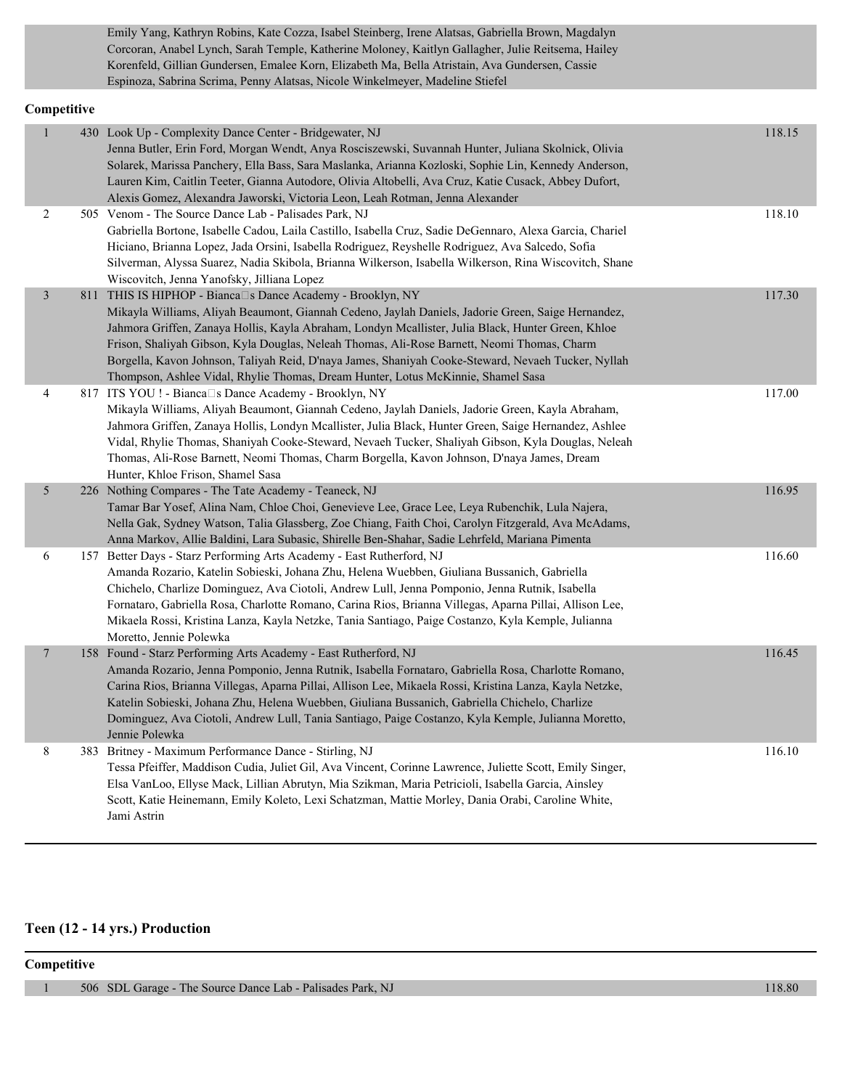Emily Yang, Kathryn Robins, Kate Cozza, Isabel Steinberg, Irene Alatsas, Gabriella Brown, Magdalyn Corcoran, Anabel Lynch, Sarah Temple, Katherine Moloney, Kaitlyn Gallagher, Julie Reitsema, Hailey Korenfeld, Gillian Gundersen, Emalee Korn, Elizabeth Ma, Bella Atristain, Ava Gundersen, Cassie Espinoza, Sabrina Scrima, Penny Alatsas, Nicole Winkelmeyer, Madeline Stiefel

#### **Competitive**

| сошрените      |                                                                                                                                                                                                                                                                                                                                                                                                                                                                                                                                                                 |        |
|----------------|-----------------------------------------------------------------------------------------------------------------------------------------------------------------------------------------------------------------------------------------------------------------------------------------------------------------------------------------------------------------------------------------------------------------------------------------------------------------------------------------------------------------------------------------------------------------|--------|
| $\mathbf{1}$   | 430 Look Up - Complexity Dance Center - Bridgewater, NJ<br>Jenna Butler, Erin Ford, Morgan Wendt, Anya Rosciszewski, Suvannah Hunter, Juliana Skolnick, Olivia<br>Solarek, Marissa Panchery, Ella Bass, Sara Maslanka, Arianna Kozloski, Sophie Lin, Kennedy Anderson,<br>Lauren Kim, Caitlin Teeter, Gianna Autodore, Olivia Altobelli, Ava Cruz, Katie Cusack, Abbey Dufort,<br>Alexis Gomez, Alexandra Jaworski, Victoria Leon, Leah Rotman, Jenna Alexander                                                                                                 | 118.15 |
| 2              | 505 Venom - The Source Dance Lab - Palisades Park, NJ<br>Gabriella Bortone, Isabelle Cadou, Laila Castillo, Isabella Cruz, Sadie DeGennaro, Alexa Garcia, Chariel<br>Hiciano, Brianna Lopez, Jada Orsini, Isabella Rodriguez, Reyshelle Rodriguez, Ava Salcedo, Sofia<br>Silverman, Alyssa Suarez, Nadia Skibola, Brianna Wilkerson, Isabella Wilkerson, Rina Wiscovitch, Shane<br>Wiscovitch, Jenna Yanofsky, Jilliana Lopez                                                                                                                                   | 118.10 |
| $\overline{3}$ | 811 THIS IS HIPHOP - Bianca□s Dance Academy - Brooklyn, NY<br>Mikayla Williams, Aliyah Beaumont, Giannah Cedeno, Jaylah Daniels, Jadorie Green, Saige Hernandez,<br>Jahmora Griffen, Zanaya Hollis, Kayla Abraham, Londyn Mcallister, Julia Black, Hunter Green, Khloe<br>Frison, Shaliyah Gibson, Kyla Douglas, Neleah Thomas, Ali-Rose Barnett, Neomi Thomas, Charm<br>Borgella, Kavon Johnson, Taliyah Reid, D'naya James, Shaniyah Cooke-Steward, Nevaeh Tucker, Nyllah<br>Thompson, Ashlee Vidal, Rhylie Thomas, Dream Hunter, Lotus McKinnie, Shamel Sasa | 117.30 |
| 4              | 817 ITS YOU ! - Bianca□s Dance Academy - Brooklyn, NY<br>Mikayla Williams, Aliyah Beaumont, Giannah Cedeno, Jaylah Daniels, Jadorie Green, Kayla Abraham,<br>Jahmora Griffen, Zanaya Hollis, Londyn Mcallister, Julia Black, Hunter Green, Saige Hernandez, Ashlee<br>Vidal, Rhylie Thomas, Shaniyah Cooke-Steward, Nevaeh Tucker, Shaliyah Gibson, Kyla Douglas, Neleah<br>Thomas, Ali-Rose Barnett, Neomi Thomas, Charm Borgella, Kavon Johnson, D'naya James, Dream<br>Hunter, Khloe Frison, Shamel Sasa                                                     | 117.00 |
| 5              | 226 Nothing Compares - The Tate Academy - Teaneck, NJ<br>Tamar Bar Yosef, Alina Nam, Chloe Choi, Genevieve Lee, Grace Lee, Leya Rubenchik, Lula Najera,<br>Nella Gak, Sydney Watson, Talia Glassberg, Zoe Chiang, Faith Choi, Carolyn Fitzgerald, Ava McAdams,<br>Anna Markov, Allie Baldini, Lara Subasic, Shirelle Ben-Shahar, Sadie Lehrfeld, Mariana Pimenta                                                                                                                                                                                                | 116.95 |
| 6              | 157 Better Days - Starz Performing Arts Academy - East Rutherford, NJ<br>Amanda Rozario, Katelin Sobieski, Johana Zhu, Helena Wuebben, Giuliana Bussanich, Gabriella<br>Chichelo, Charlize Dominguez, Ava Ciotoli, Andrew Lull, Jenna Pomponio, Jenna Rutnik, Isabella<br>Fornataro, Gabriella Rosa, Charlotte Romano, Carina Rios, Brianna Villegas, Aparna Pillai, Allison Lee,<br>Mikaela Rossi, Kristina Lanza, Kayla Netzke, Tania Santiago, Paige Costanzo, Kyla Kemple, Julianna<br>Moretto, Jennie Polewka                                              | 116.60 |
| $\overline{7}$ | 158 Found - Starz Performing Arts Academy - East Rutherford, NJ<br>Amanda Rozario, Jenna Pomponio, Jenna Rutnik, Isabella Fornataro, Gabriella Rosa, Charlotte Romano,<br>Carina Rios, Brianna Villegas, Aparna Pillai, Allison Lee, Mikaela Rossi, Kristina Lanza, Kayla Netzke,<br>Katelin Sobieski, Johana Zhu, Helena Wuebben, Giuliana Bussanich, Gabriella Chichelo, Charlize<br>Dominguez, Ava Ciotoli, Andrew Lull, Tania Santiago, Paige Costanzo, Kyla Kemple, Julianna Moretto,<br>Jennie Polewka                                                    | 116.45 |
| 8              | 383 Britney - Maximum Performance Dance - Stirling, NJ<br>Tessa Pfeiffer, Maddison Cudia, Juliet Gil, Ava Vincent, Corinne Lawrence, Juliette Scott, Emily Singer,<br>Elsa VanLoo, Ellyse Mack, Lillian Abrutyn, Mia Szikman, Maria Petricioli, Isabella Garcia, Ainsley<br>Scott, Katie Heinemann, Emily Koleto, Lexi Schatzman, Mattie Morley, Dania Orabi, Caroline White,<br>Jami Astrin                                                                                                                                                                    | 116.10 |

#### **Teen (12 - 14 yrs.) Production**

#### **Competitive**

1 506 SDL Garage - The Source Dance Lab - Palisades Park, NJ 118.80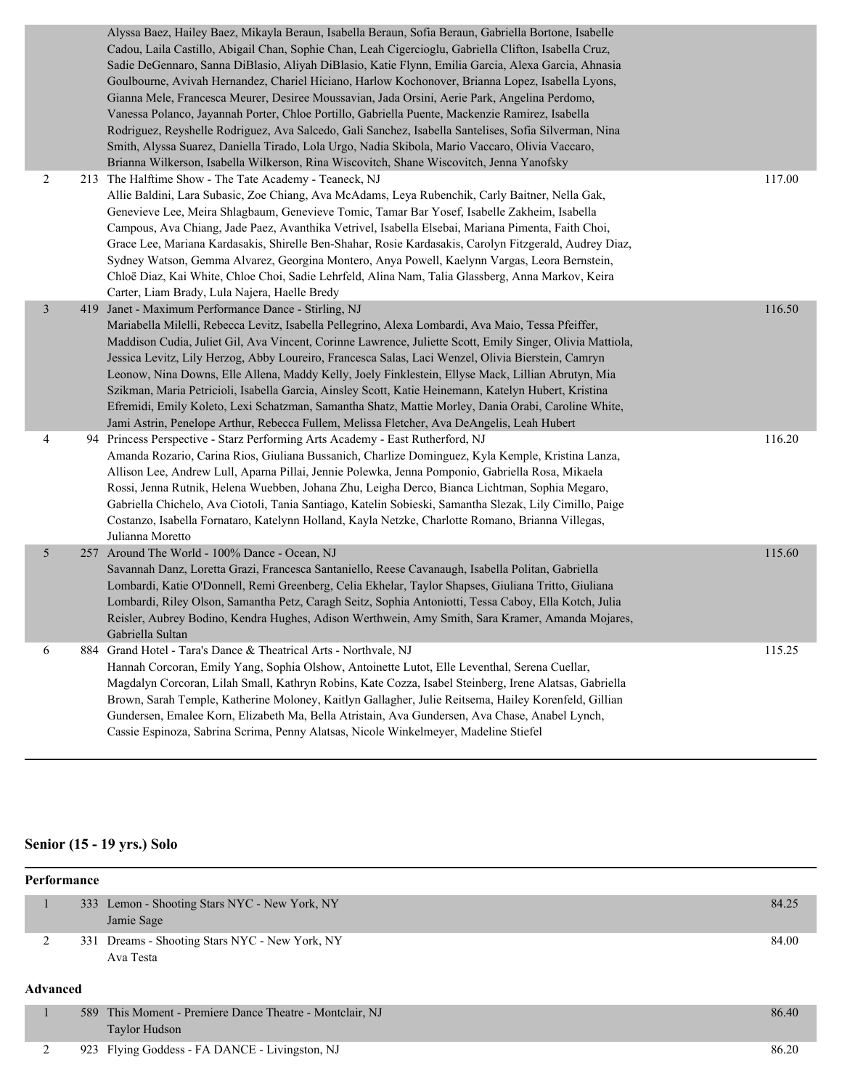|                | Alyssa Baez, Hailey Baez, Mikayla Beraun, Isabella Beraun, Sofia Beraun, Gabriella Bortone, Isabelle<br>Cadou, Laila Castillo, Abigail Chan, Sophie Chan, Leah Cigercioglu, Gabriella Clifton, Isabella Cruz,<br>Sadie DeGennaro, Sanna DiBlasio, Aliyah DiBlasio, Katie Flynn, Emilia Garcia, Alexa Garcia, Ahnasia<br>Goulbourne, Avivah Hernandez, Chariel Hiciano, Harlow Kochonover, Brianna Lopez, Isabella Lyons,<br>Gianna Mele, Francesca Meurer, Desiree Moussavian, Jada Orsini, Aerie Park, Angelina Perdomo,<br>Vanessa Polanco, Jayannah Porter, Chloe Portillo, Gabriella Puente, Mackenzie Ramirez, Isabella<br>Rodriguez, Reyshelle Rodriguez, Ava Salcedo, Gali Sanchez, Isabella Santelises, Sofia Silverman, Nina<br>Smith, Alyssa Suarez, Daniella Tirado, Lola Urgo, Nadia Skibola, Mario Vaccaro, Olivia Vaccaro,<br>Brianna Wilkerson, Isabella Wilkerson, Rina Wiscovitch, Shane Wiscovitch, Jenna Yanofsky |        |
|----------------|--------------------------------------------------------------------------------------------------------------------------------------------------------------------------------------------------------------------------------------------------------------------------------------------------------------------------------------------------------------------------------------------------------------------------------------------------------------------------------------------------------------------------------------------------------------------------------------------------------------------------------------------------------------------------------------------------------------------------------------------------------------------------------------------------------------------------------------------------------------------------------------------------------------------------------------|--------|
| $\overline{2}$ | 213 The Halftime Show - The Tate Academy - Teaneck, NJ<br>Allie Baldini, Lara Subasic, Zoe Chiang, Ava McAdams, Leya Rubenchik, Carly Baitner, Nella Gak,<br>Genevieve Lee, Meira Shlagbaum, Genevieve Tomic, Tamar Bar Yosef, Isabelle Zakheim, Isabella<br>Campous, Ava Chiang, Jade Paez, Avanthika Vetrivel, Isabella Elsebai, Mariana Pimenta, Faith Choi,<br>Grace Lee, Mariana Kardasakis, Shirelle Ben-Shahar, Rosie Kardasakis, Carolyn Fitzgerald, Audrey Diaz,<br>Sydney Watson, Gemma Alvarez, Georgina Montero, Anya Powell, Kaelynn Vargas, Leora Bernstein,<br>Chloë Diaz, Kai White, Chloe Choi, Sadie Lehrfeld, Alina Nam, Talia Glassberg, Anna Markov, Keira<br>Carter, Liam Brady, Lula Najera, Haelle Bredy                                                                                                                                                                                                     | 117.00 |
| 3              | 419 Janet - Maximum Performance Dance - Stirling, NJ<br>Mariabella Milelli, Rebecca Levitz, Isabella Pellegrino, Alexa Lombardi, Ava Maio, Tessa Pfeiffer,<br>Maddison Cudia, Juliet Gil, Ava Vincent, Corinne Lawrence, Juliette Scott, Emily Singer, Olivia Mattiola,<br>Jessica Levitz, Lily Herzog, Abby Loureiro, Francesca Salas, Laci Wenzel, Olivia Bierstein, Camryn<br>Leonow, Nina Downs, Elle Allena, Maddy Kelly, Joely Finklestein, Ellyse Mack, Lillian Abrutyn, Mia<br>Szikman, Maria Petricioli, Isabella Garcia, Ainsley Scott, Katie Heinemann, Katelyn Hubert, Kristina<br>Efremidi, Emily Koleto, Lexi Schatzman, Samantha Shatz, Mattie Morley, Dania Orabi, Caroline White,<br>Jami Astrin, Penelope Arthur, Rebecca Fullem, Melissa Fletcher, Ava DeAngelis, Leah Hubert                                                                                                                                     | 116.50 |
| 4              | 94 Princess Perspective - Starz Performing Arts Academy - East Rutherford, NJ<br>Amanda Rozario, Carina Rios, Giuliana Bussanich, Charlize Dominguez, Kyla Kemple, Kristina Lanza,<br>Allison Lee, Andrew Lull, Aparna Pillai, Jennie Polewka, Jenna Pomponio, Gabriella Rosa, Mikaela<br>Rossi, Jenna Rutnik, Helena Wuebben, Johana Zhu, Leigha Derco, Bianca Lichtman, Sophia Megaro,<br>Gabriella Chichelo, Ava Ciotoli, Tania Santiago, Katelin Sobieski, Samantha Slezak, Lily Cimillo, Paige<br>Costanzo, Isabella Fornataro, Katelynn Holland, Kayla Netzke, Charlotte Romano, Brianna Villegas,<br>Julianna Moretto                                                                                                                                                                                                                                                                                                         | 116.20 |
| 5              | 257 Around The World - 100% Dance - Ocean, NJ<br>Savannah Danz, Loretta Grazi, Francesca Santaniello, Reese Cavanaugh, Isabella Politan, Gabriella<br>Lombardi, Katie O'Donnell, Remi Greenberg, Celia Ekhelar, Taylor Shapses, Giuliana Tritto, Giuliana<br>Lombardi, Riley Olson, Samantha Petz, Caragh Seitz, Sophia Antoniotti, Tessa Caboy, Ella Kotch, Julia<br>Reisler, Aubrey Bodino, Kendra Hughes, Adison Werthwein, Amy Smith, Sara Kramer, Amanda Mojares,<br>Gabriella Sultan                                                                                                                                                                                                                                                                                                                                                                                                                                           | 115.60 |
| 6              | 884 Grand Hotel - Tara's Dance & Theatrical Arts - Northvale, NJ<br>Hannah Corcoran, Emily Yang, Sophia Olshow, Antoinette Lutot, Elle Leventhal, Serena Cuellar,<br>Magdalyn Corcoran, Lilah Small, Kathryn Robins, Kate Cozza, Isabel Steinberg, Irene Alatsas, Gabriella<br>Brown, Sarah Temple, Katherine Moloney, Kaitlyn Gallagher, Julie Reitsema, Hailey Korenfeld, Gillian<br>Gundersen, Emalee Korn, Elizabeth Ma, Bella Atristain, Ava Gundersen, Ava Chase, Anabel Lynch,<br>Cassie Espinoza, Sabrina Scrima, Penny Alatsas, Nicole Winkelmeyer, Madeline Stiefel                                                                                                                                                                                                                                                                                                                                                        | 115.25 |

# **Senior (15 - 19 yrs.) Solo**

| Performance     |  |                                                                           |       |
|-----------------|--|---------------------------------------------------------------------------|-------|
|                 |  | 333 Lemon - Shooting Stars NYC - New York, NY<br>Jamie Sage               | 84.25 |
| 2               |  | 331 Dreams - Shooting Stars NYC - New York, NY<br>Ava Testa               | 84.00 |
| <b>Advanced</b> |  |                                                                           |       |
|                 |  | 589 This Moment - Premiere Dance Theatre - Montclair, NJ<br>Taylor Hudson | 86.40 |

2 923 Flying Goddess - FA DANCE - Livingston, NJ 86.20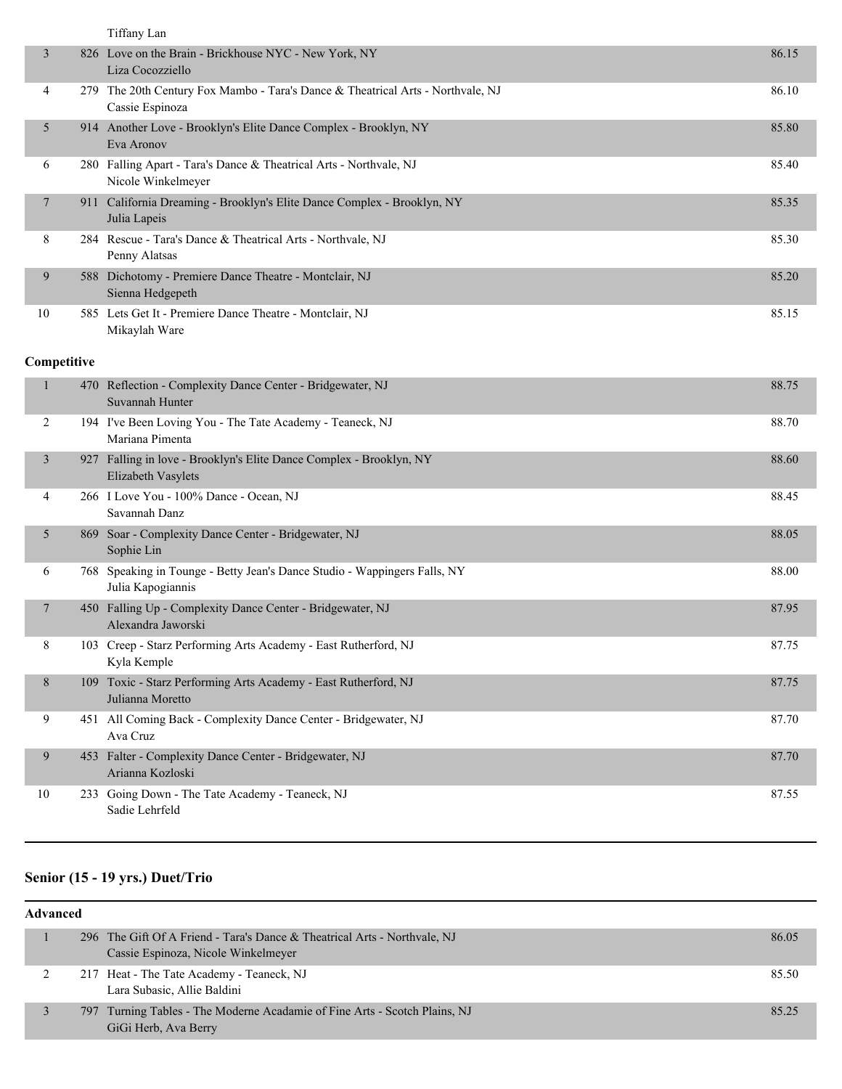|                |     | Tiffany Lan                                                                                        |       |
|----------------|-----|----------------------------------------------------------------------------------------------------|-------|
| 3              |     | 826 Love on the Brain - Brickhouse NYC - New York, NY<br>Liza Cocozziello                          | 86.15 |
| 4              |     | 279 The 20th Century Fox Mambo - Tara's Dance & Theatrical Arts - Northvale, NJ<br>Cassie Espinoza | 86.10 |
| 5              |     | 914 Another Love - Brooklyn's Elite Dance Complex - Brooklyn, NY<br>Eva Aronov                     | 85.80 |
| 6              |     | 280 Falling Apart - Tara's Dance & Theatrical Arts - Northvale, NJ<br>Nicole Winkelmeyer           | 85.40 |
| 7              |     | 911 California Dreaming - Brooklyn's Elite Dance Complex - Brooklyn, NY<br>Julia Lapeis            | 85.35 |
| 8              |     | 284 Rescue - Tara's Dance & Theatrical Arts - Northvale, NJ<br>Penny Alatsas                       | 85.30 |
| 9              |     | 588 Dichotomy - Premiere Dance Theatre - Montclair, NJ<br>Sienna Hedgepeth                         | 85.20 |
| 10             |     | 585 Lets Get It - Premiere Dance Theatre - Montclair, NJ<br>Mikaylah Ware                          | 85.15 |
| Competitive    |     |                                                                                                    |       |
| 1              | 470 | Reflection - Complexity Dance Center - Bridgewater, NJ<br>Suvannah Hunter                          | 88.75 |
| 2              |     | 194 I've Been Loving You - The Tate Academy - Teaneck, NJ<br>Mariana Pimenta                       | 88.70 |
| $\mathfrak{Z}$ |     | 927 Falling in love - Brooklyn's Elite Dance Complex - Brooklyn, NY<br>Elizabeth Vasylets          | 88.60 |
| 4              |     | 266 I Love You - 100% Dance - Ocean, NJ<br>Savannah Danz                                           | 88.45 |
| 5              |     | 869 Soar - Complexity Dance Center - Bridgewater, NJ<br>Sophie Lin                                 | 88.05 |
| 6              |     | 768 Speaking in Tounge - Betty Jean's Dance Studio - Wappingers Falls, NY<br>Julia Kapogiannis     | 88.00 |
| 7              |     | 450 Falling Up - Complexity Dance Center - Bridgewater, NJ<br>Alexandra Jaworski                   | 87.95 |
| 8              |     | 103 Creep - Starz Performing Arts Academy - East Rutherford, NJ<br>Kyla Kemple                     | 87.75 |
| 8              |     | 109 Toxic - Starz Performing Arts Academy - East Rutherford, NJ<br>Julianna Moretto                | 87.75 |
| 9              |     | 451 All Coming Back - Complexity Dance Center - Bridgewater, NJ<br>Ava Cruz                        | 87.70 |
| 9              |     | 453 Falter - Complexity Dance Center - Bridgewater, NJ<br>Arianna Kozloski                         | 87.70 |
| 10             |     | 233 Going Down - The Tate Academy - Teaneck, NJ<br>Sadie Lehrfeld                                  | 87.55 |

### **Senior (15 - 19 yrs.) Duet/Trio**

| <b>Advanced</b> |  |                                                                                                                  |       |
|-----------------|--|------------------------------------------------------------------------------------------------------------------|-------|
|                 |  | 296 The Gift Of A Friend - Tara's Dance & Theatrical Arts - Northvale, NJ<br>Cassie Espinoza, Nicole Winkelmeyer | 86.05 |
|                 |  | 217 Heat - The Tate Academy - Teaneck, NJ<br>Lara Subasic, Allie Baldini                                         | 85.50 |
|                 |  | 797 Turning Tables - The Moderne Acadamie of Fine Arts - Scotch Plains, NJ<br>GiGi Herb, Ava Berry               | 85.25 |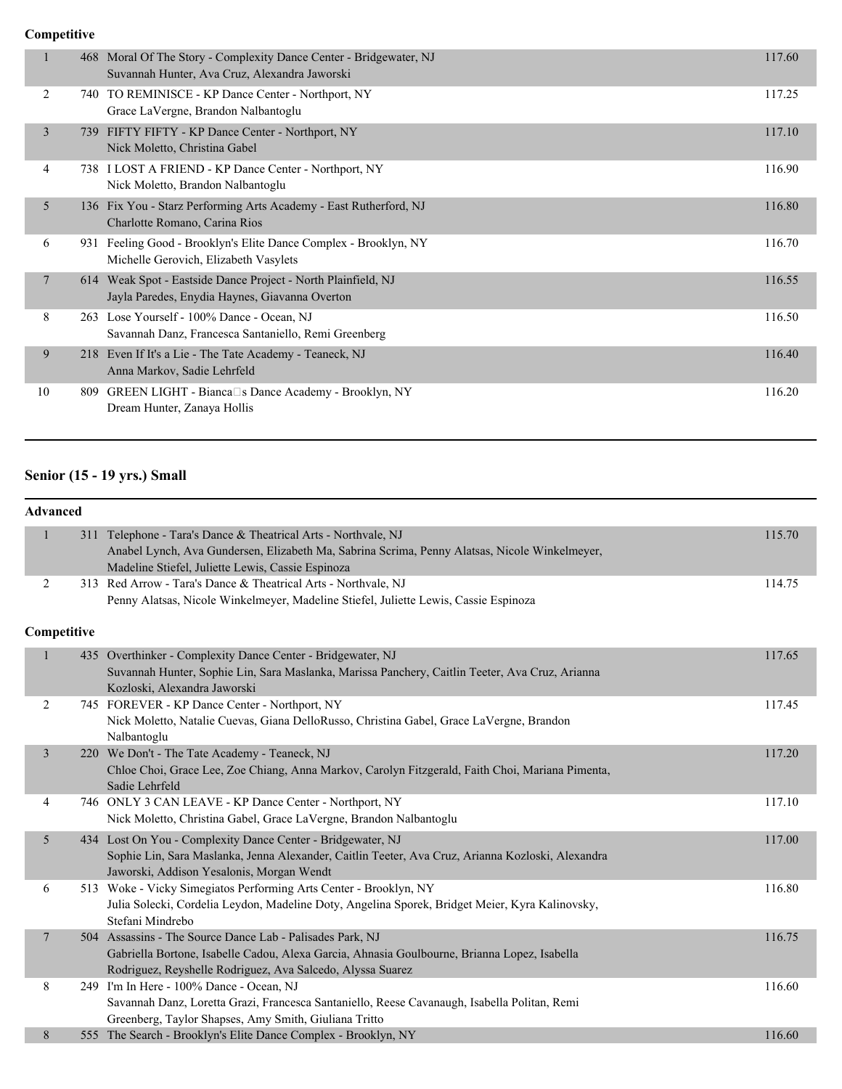#### **Competitive**

|    | 468 Moral Of The Story - Complexity Dance Center - Bridgewater, NJ<br>Suvannah Hunter, Ava Cruz, Alexandra Jaworski | 117.60 |
|----|---------------------------------------------------------------------------------------------------------------------|--------|
| 2  | TO REMINISCE - KP Dance Center - Northport, NY<br>740.<br>Grace LaVergne, Brandon Nalbantoglu                       | 117.25 |
| 3  | FIFTY FIFTY - KP Dance Center - Northport, NY<br>739<br>Nick Moletto, Christina Gabel                               | 117.10 |
| 4  | 738 I LOST A FRIEND - KP Dance Center - Northport, NY<br>Nick Moletto, Brandon Nalbantoglu                          | 116.90 |
| 5  | 136 Fix You - Starz Performing Arts Academy - East Rutherford, NJ<br>Charlotte Romano, Carina Rios                  | 116.80 |
| 6  | 931 Feeling Good - Brooklyn's Elite Dance Complex - Brooklyn, NY<br>Michelle Gerovich, Elizabeth Vasylets           | 116.70 |
| 7  | 614 Weak Spot - Eastside Dance Project - North Plainfield, NJ<br>Jayla Paredes, Enydia Haynes, Giavanna Overton     | 116.55 |
| 8  | 263 Lose Yourself - 100% Dance - Ocean, NJ<br>Savannah Danz, Francesca Santaniello, Remi Greenberg                  | 116.50 |
| 9  | 218 Even If It's a Lie - The Tate Academy - Teaneck, NJ<br>Anna Markov, Sadie Lehrfeld                              | 116.40 |
| 10 | GREEN LIGHT - Bianca□s Dance Academy - Brooklyn, NY<br>809<br>Dream Hunter, Zanaya Hollis                           | 116.20 |
|    |                                                                                                                     |        |

### **Senior (15 - 19 yrs.) Small**

#### **Advanced**

| $\mathbf{1}$ | 311 Telephone - Tara's Dance & Theatrical Arts - Northvale, NJ<br>Anabel Lynch, Ava Gundersen, Elizabeth Ma, Sabrina Scrima, Penny Alatsas, Nicole Winkelmeyer,<br>Madeline Stiefel, Juliette Lewis, Cassie Espinoza    | 115.70 |
|--------------|-------------------------------------------------------------------------------------------------------------------------------------------------------------------------------------------------------------------------|--------|
| 2            | 313 Red Arrow - Tara's Dance & Theatrical Arts - Northvale, NJ<br>Penny Alatsas, Nicole Winkelmeyer, Madeline Stiefel, Juliette Lewis, Cassie Espinoza                                                                  | 114.75 |
| Competitive  |                                                                                                                                                                                                                         |        |
|              | 435 Overthinker - Complexity Dance Center - Bridgewater, NJ<br>Suvannah Hunter, Sophie Lin, Sara Maslanka, Marissa Panchery, Caitlin Teeter, Ava Cruz, Arianna<br>Kozloski, Alexandra Jaworski                          | 117.65 |
| 2            | 745 FOREVER - KP Dance Center - Northport, NY<br>Nick Moletto, Natalie Cuevas, Giana DelloRusso, Christina Gabel, Grace LaVergne, Brandon<br>Nalbantoglu                                                                | 117.45 |
| 3            | 220 We Don't - The Tate Academy - Teaneck, NJ<br>Chloe Choi, Grace Lee, Zoe Chiang, Anna Markov, Carolyn Fitzgerald, Faith Choi, Mariana Pimenta,<br>Sadie Lehrfeld                                                     | 117.20 |
| 4            | 746 ONLY 3 CAN LEAVE - KP Dance Center - Northport, NY<br>Nick Moletto, Christina Gabel, Grace LaVergne, Brandon Nalbantoglu                                                                                            | 117.10 |
| 5            | 434 Lost On You - Complexity Dance Center - Bridgewater, NJ<br>Sophie Lin, Sara Maslanka, Jenna Alexander, Caitlin Teeter, Ava Cruz, Arianna Kozloski, Alexandra<br>Jaworski, Addison Yesalonis, Morgan Wendt           | 117.00 |
| 6            | 513 Woke - Vicky Simegiatos Performing Arts Center - Brooklyn, NY<br>Julia Solecki, Cordelia Leydon, Madeline Doty, Angelina Sporek, Bridget Meier, Kyra Kalinovsky,<br>Stefani Mindrebo                                | 116.80 |
| 7            | 504 Assassins - The Source Dance Lab - Palisades Park, NJ<br>Gabriella Bortone, Isabelle Cadou, Alexa Garcia, Ahnasia Goulbourne, Brianna Lopez, Isabella<br>Rodriguez, Reyshelle Rodriguez, Ava Salcedo, Alyssa Suarez | 116.75 |
| 8            | 249 I'm In Here - 100% Dance - Ocean, NJ<br>Savannah Danz, Loretta Grazi, Francesca Santaniello, Reese Cavanaugh, Isabella Politan, Remi<br>Greenberg, Taylor Shapses, Amy Smith, Giuliana Tritto                       | 116.60 |
| 8            | 555 The Search - Brooklyn's Elite Dance Complex - Brooklyn, NY                                                                                                                                                          | 116.60 |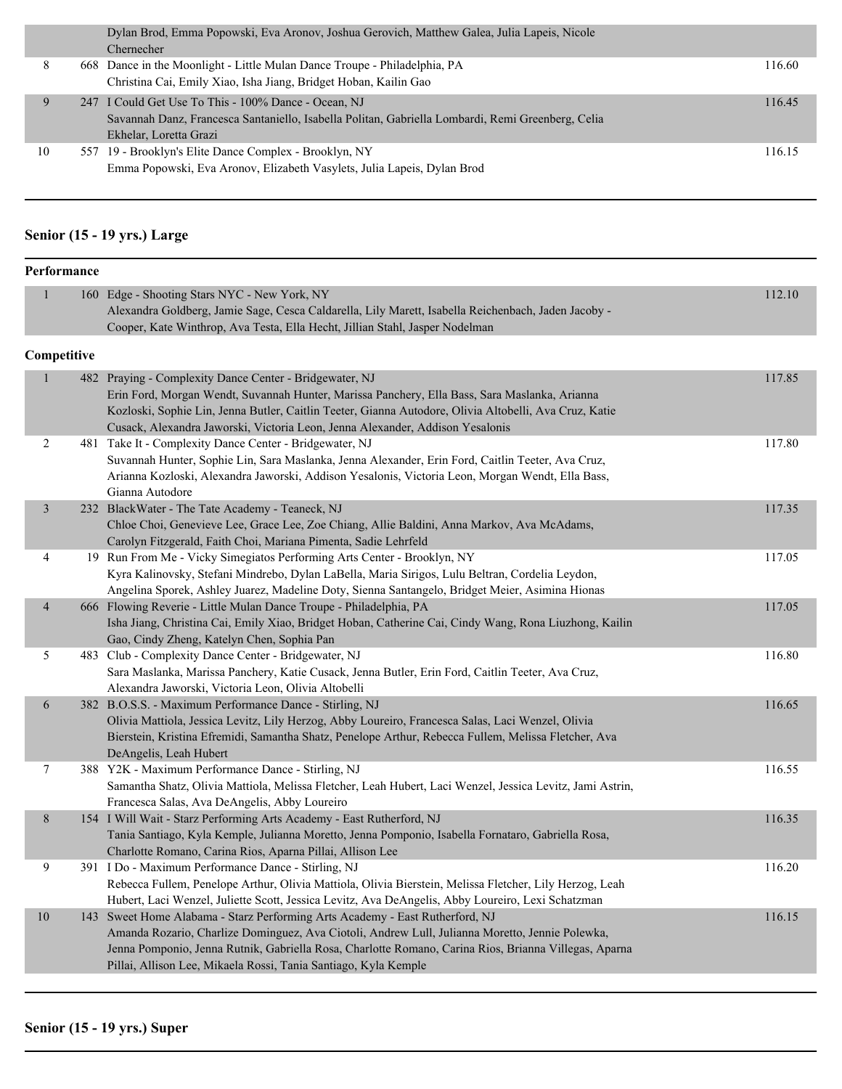|    | Dylan Brod, Emma Popowski, Eva Aronov, Joshua Gerovich, Matthew Galea, Julia Lapeis, Nicole       |        |
|----|---------------------------------------------------------------------------------------------------|--------|
|    | Chernecher                                                                                        |        |
| 8  | 668 Dance in the Moonlight - Little Mulan Dance Troupe - Philadelphia, PA                         | 116.60 |
|    | Christina Cai, Emily Xiao, Isha Jiang, Bridget Hoban, Kailin Gao                                  |        |
| 9  | 247 I Could Get Use To This - 100% Dance - Ocean, NJ                                              | 116.45 |
|    | Savannah Danz, Francesca Santaniello, Isabella Politan, Gabriella Lombardi, Remi Greenberg, Celia |        |
|    | Ekhelar, Loretta Grazi                                                                            |        |
| 10 | 557 19 - Brooklyn's Elite Dance Complex - Brooklyn, NY                                            | 116.15 |
|    | Emma Popowski, Eva Aronov, Elizabeth Vasylets, Julia Lapeis, Dylan Brod                           |        |
|    |                                                                                                   |        |

#### **Senior (15 - 19 yrs.) Large**

| Performance              |             |                                                                                                                                                                                                                                                                                                                                                             |        |  |
|--------------------------|-------------|-------------------------------------------------------------------------------------------------------------------------------------------------------------------------------------------------------------------------------------------------------------------------------------------------------------------------------------------------------------|--------|--|
| $\mathbf{1}$             |             | 160 Edge - Shooting Stars NYC - New York, NY<br>Alexandra Goldberg, Jamie Sage, Cesca Caldarella, Lily Marett, Isabella Reichenbach, Jaden Jacoby -<br>Cooper, Kate Winthrop, Ava Testa, Ella Hecht, Jillian Stahl, Jasper Nodelman                                                                                                                         | 112.10 |  |
|                          | Competitive |                                                                                                                                                                                                                                                                                                                                                             |        |  |
| $\mathbf{1}$             |             | 482 Praying - Complexity Dance Center - Bridgewater, NJ<br>Erin Ford, Morgan Wendt, Suvannah Hunter, Marissa Panchery, Ella Bass, Sara Maslanka, Arianna<br>Kozloski, Sophie Lin, Jenna Butler, Caitlin Teeter, Gianna Autodore, Olivia Altobelli, Ava Cruz, Katie<br>Cusack, Alexandra Jaworski, Victoria Leon, Jenna Alexander, Addison Yesalonis         | 117.85 |  |
| 2                        |             | 481 Take It - Complexity Dance Center - Bridgewater, NJ<br>Suvannah Hunter, Sophie Lin, Sara Maslanka, Jenna Alexander, Erin Ford, Caitlin Teeter, Ava Cruz,<br>Arianna Kozloski, Alexandra Jaworski, Addison Yesalonis, Victoria Leon, Morgan Wendt, Ella Bass,<br>Gianna Autodore                                                                         | 117.80 |  |
| $\overline{\mathbf{3}}$  |             | 232 BlackWater - The Tate Academy - Teaneck, NJ<br>Chloe Choi, Genevieve Lee, Grace Lee, Zoe Chiang, Allie Baldini, Anna Markov, Ava McAdams,<br>Carolyn Fitzgerald, Faith Choi, Mariana Pimenta, Sadie Lehrfeld                                                                                                                                            | 117.35 |  |
| 4                        |             | 19 Run From Me - Vicky Simegiatos Performing Arts Center - Brooklyn, NY<br>Kyra Kalinovsky, Stefani Mindrebo, Dylan LaBella, Maria Sirigos, Lulu Beltran, Cordelia Leydon,<br>Angelina Sporek, Ashley Juarez, Madeline Doty, Sienna Santangelo, Bridget Meier, Asimina Hionas                                                                               | 117.05 |  |
| $\overline{\mathcal{A}}$ |             | 666 Flowing Reverie - Little Mulan Dance Troupe - Philadelphia, PA<br>Isha Jiang, Christina Cai, Emily Xiao, Bridget Hoban, Catherine Cai, Cindy Wang, Rona Liuzhong, Kailin<br>Gao, Cindy Zheng, Katelyn Chen, Sophia Pan                                                                                                                                  | 117.05 |  |
| 5                        |             | 483 Club - Complexity Dance Center - Bridgewater, NJ<br>Sara Maslanka, Marissa Panchery, Katie Cusack, Jenna Butler, Erin Ford, Caitlin Teeter, Ava Cruz,<br>Alexandra Jaworski, Victoria Leon, Olivia Altobelli                                                                                                                                            | 116.80 |  |
| 6                        |             | 382 B.O.S.S. - Maximum Performance Dance - Stirling, NJ<br>Olivia Mattiola, Jessica Levitz, Lily Herzog, Abby Loureiro, Francesca Salas, Laci Wenzel, Olivia<br>Bierstein, Kristina Efremidi, Samantha Shatz, Penelope Arthur, Rebecca Fullem, Melissa Fletcher, Ava<br>DeAngelis, Leah Hubert                                                              | 116.65 |  |
| 7                        |             | 388 Y2K - Maximum Performance Dance - Stirling, NJ<br>Samantha Shatz, Olivia Mattiola, Melissa Fletcher, Leah Hubert, Laci Wenzel, Jessica Levitz, Jami Astrin,<br>Francesca Salas, Ava DeAngelis, Abby Loureiro                                                                                                                                            | 116.55 |  |
| 8                        |             | 154 I Will Wait - Starz Performing Arts Academy - East Rutherford, NJ<br>Tania Santiago, Kyla Kemple, Julianna Moretto, Jenna Pomponio, Isabella Fornataro, Gabriella Rosa,<br>Charlotte Romano, Carina Rios, Aparna Pillai, Allison Lee                                                                                                                    | 116.35 |  |
| 9                        |             | 391 I Do - Maximum Performance Dance - Stirling, NJ<br>Rebecca Fullem, Penelope Arthur, Olivia Mattiola, Olivia Bierstein, Melissa Fletcher, Lily Herzog, Leah<br>Hubert, Laci Wenzel, Juliette Scott, Jessica Levitz, Ava DeAngelis, Abby Loureiro, Lexi Schatzman                                                                                         | 116.20 |  |
| 10                       |             | 143 Sweet Home Alabama - Starz Performing Arts Academy - East Rutherford, NJ<br>Amanda Rozario, Charlize Dominguez, Ava Ciotoli, Andrew Lull, Julianna Moretto, Jennie Polewka,<br>Jenna Pomponio, Jenna Rutnik, Gabriella Rosa, Charlotte Romano, Carina Rios, Brianna Villegas, Aparna<br>Pillai, Allison Lee, Mikaela Rossi, Tania Santiago, Kyla Kemple | 116.15 |  |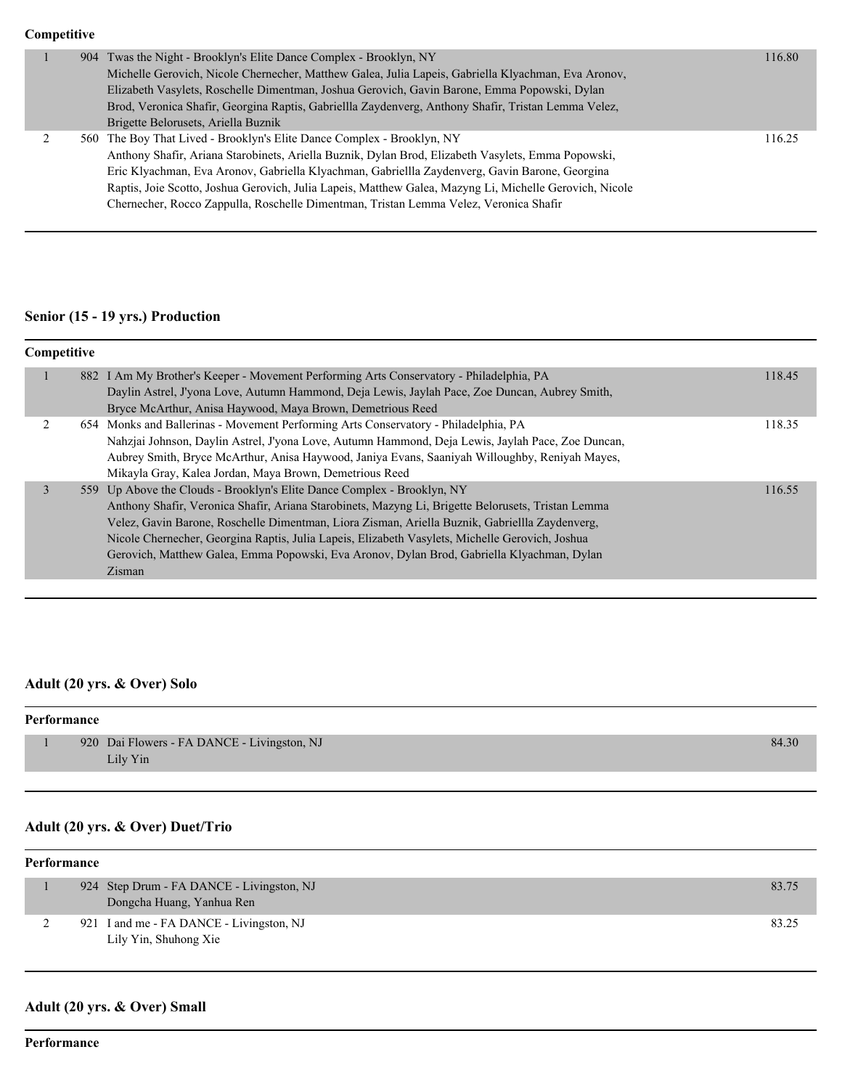#### **Competitive**

|  | 904 Twas the Night - Brooklyn's Elite Dance Complex - Brooklyn, NY<br>Michelle Gerovich, Nicole Chernecher, Matthew Galea, Julia Lapeis, Gabriella Klyachman, Eva Aronov,<br>Elizabeth Vasylets, Roschelle Dimentman, Joshua Gerovich, Gavin Barone, Emma Popowski, Dylan<br>Brod, Veronica Shafir, Georgina Raptis, Gabriellla Zaydenverg, Anthony Shafir, Tristan Lemma Velez,<br>Brigette Belorusets, Ariella Buznik                                                            | 116.80 |
|--|------------------------------------------------------------------------------------------------------------------------------------------------------------------------------------------------------------------------------------------------------------------------------------------------------------------------------------------------------------------------------------------------------------------------------------------------------------------------------------|--------|
|  | 560 The Boy That Lived - Brooklyn's Elite Dance Complex - Brooklyn, NY<br>Anthony Shafir, Ariana Starobinets, Ariella Buznik, Dylan Brod, Elizabeth Vasylets, Emma Popowski,<br>Eric Klyachman, Eva Aronov, Gabriella Klyachman, Gabriellla Zaydenverg, Gavin Barone, Georgina<br>Raptis, Joie Scotto, Joshua Gerovich, Julia Lapeis, Matthew Galea, Mazyng Li, Michelle Gerovich, Nicole<br>Chernecher, Rocco Zappulla, Roschelle Dimentman, Tristan Lemma Velez, Veronica Shafir | 116.25 |

### **Senior (15 - 19 yrs.) Production**

| Competitive |  |                                                                                                                                                                                                                                                                                                                                                                                                                                                                                            |        |  |
|-------------|--|--------------------------------------------------------------------------------------------------------------------------------------------------------------------------------------------------------------------------------------------------------------------------------------------------------------------------------------------------------------------------------------------------------------------------------------------------------------------------------------------|--------|--|
|             |  | 882 I Am My Brother's Keeper - Movement Performing Arts Conservatory - Philadelphia, PA<br>Daylin Astrel, J'yona Love, Autumn Hammond, Deja Lewis, Jaylah Pace, Zoe Duncan, Aubrey Smith,<br>Bryce McArthur, Anisa Haywood, Maya Brown, Demetrious Reed                                                                                                                                                                                                                                    | 118.45 |  |
|             |  | 654 Monks and Ballerinas - Movement Performing Arts Conservatory - Philadelphia, PA<br>Nahzjai Johnson, Daylin Astrel, J'yona Love, Autumn Hammond, Deja Lewis, Jaylah Pace, Zoe Duncan,<br>Aubrey Smith, Bryce McArthur, Anisa Haywood, Janiya Evans, Saaniyah Willoughby, Reniyah Mayes,<br>Mikayla Gray, Kalea Jordan, Maya Brown, Demetrious Reed                                                                                                                                      | 118.35 |  |
| 3           |  | 559 Up Above the Clouds - Brooklyn's Elite Dance Complex - Brooklyn, NY<br>Anthony Shafir, Veronica Shafir, Ariana Starobinets, Mazyng Li, Brigette Belorusets, Tristan Lemma<br>Velez, Gavin Barone, Roschelle Dimentman, Liora Zisman, Ariella Buznik, Gabriellla Zaydenverg,<br>Nicole Chernecher, Georgina Raptis, Julia Lapeis, Elizabeth Vasylets, Michelle Gerovich, Joshua<br>Gerovich, Matthew Galea, Emma Popowski, Eva Aronov, Dylan Brod, Gabriella Klyachman, Dylan<br>Zisman | 116.55 |  |

# **Adult (20 yrs. & Over) Solo**

| Performance |  |                                             |       |
|-------------|--|---------------------------------------------|-------|
|             |  | 920 Dai Flowers - FA DANCE - Livingston, NJ | 84.30 |
|             |  | Lily Yin                                    |       |

### **Adult (20 yrs. & Over) Duet/Trio**

| Performance |  |                                                                        |       |  |
|-------------|--|------------------------------------------------------------------------|-------|--|
|             |  | 924 Step Drum - FA DANCE - Livingston, NJ<br>Dongcha Huang, Yanhua Ren | 83.75 |  |
|             |  | 921 I and me - FA DANCE - Livingston, NJ<br>Lily Yin, Shuhong Xie      | 83.25 |  |

### **Adult (20 yrs. & Over) Small**